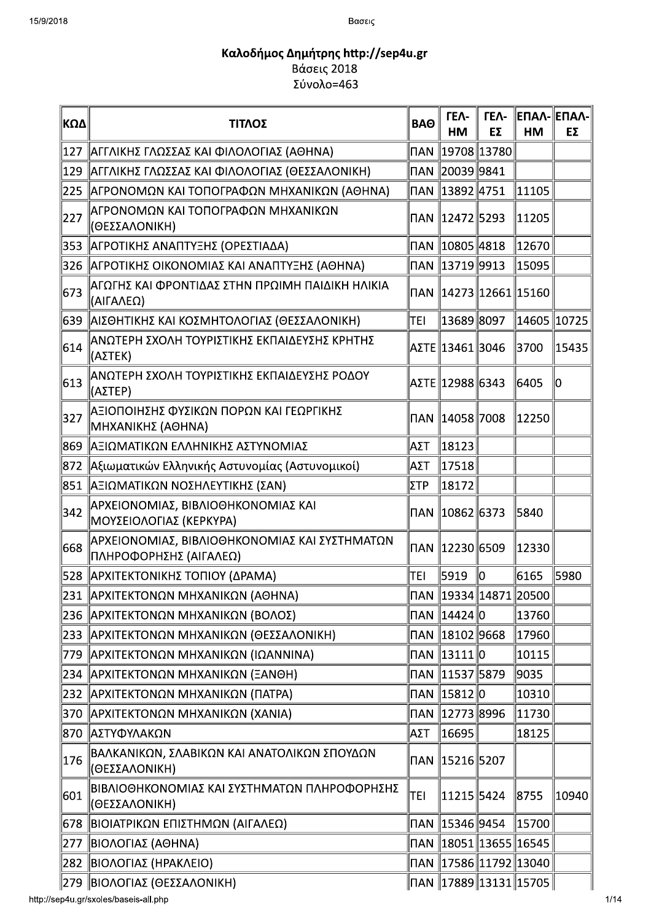| 18   | Βασεις                                                                  |                              |                     |                   |                           |                   |
|------|-------------------------------------------------------------------------|------------------------------|---------------------|-------------------|---------------------------|-------------------|
|      | Καλοδήμος Δημήτρης http://sep4u.gr<br>Βάσεις 2018                       |                              |                     |                   |                           |                   |
|      | Σύνολο=463                                                              |                              |                     |                   |                           |                   |
| ∥ΚΩΔ | ΤΙΤΛΟΣ                                                                  | <b>BAO</b>                   | <b>TEA-</b><br>HM   | <b>TEA-</b><br>EΣ | HM                        | ΕΠΑΛ- ΕΠΑΛ-<br>EΣ |
| 127  | ΑΓΓΛΙΚΗΣ ΓΛΩΣΣΑΣ ΚΑΙ ΦΙΛΟΛΟΓΙΑΣ (ΑΘΗΝΑ)                                 | $\overline{\mathsf{\Pi}}$ AN | 19708  13780        |                   |                           |                   |
| 129  | ΑΓΓΛΙΚΗΣ ΓΛΩΣΣΑΣ ΚΑΙ ΦΙΛΟΛΟΓΙΑΣ (ΘΕΣΣΑΛΟΝΙΚΗ)                           |                              |                     |                   |                           |                   |
| 225  | ΑΓΡΟΝΟΜΩΝ ΚΑΙ ΤΟΠΟΓΡΑΦΩΝ ΜΗΧΑΝΙΚΩΝ (ΑΘΗΝΑ)                              | $\overline{\mathsf{U}}$ AN   | $\ 13892\ 4751$     |                   | 11105                     |                   |
| 227  | ΑΓΡΟΝΟΜΩΝ ΚΑΙ ΤΟΠΟΓΡΑΦΩΝ ΜΗΧΑΝΙΚΩΝ<br> (ΘΕΣΣΑΛΟΝΙΚΗ)                    | <b>NAN</b>                   | $\ 12472\ 5293$     |                   | 11205                     |                   |
| 353  | ΑΓΡΟΤΙΚΗΣ ΑΝΑΠΤΥΞΗΣ (ΟΡΕΣΤΙΑΔΑ)                                         |                              | ∏AN   10805   4818  |                   | 12670                     |                   |
| 326  | ΑΓΡΟΤΙΚΗΣ ΟΙΚΟΝΟΜΙΑΣ ΚΑΙ ΑΝΑΠΤΥΞΗΣ (ΑΘΗΝΑ)                              | $\overline{\mathsf{\Pi}}$ AN | $\ $ 13719 9913     |                   | 15095                     |                   |
| 673  | ΑΓΩΓΗΣ ΚΑΙ ΦΡΟΝΤΙΔΑΣ ΣΤΗΝ ΠΡΩΙΜΗ ΠΑΙΔΙΚΗ ΗΛΙΚΙΑ<br>(ΑΙΓΑΛΕΩ)            | <b>NAN</b>                   |                     |                   | 14273  12661  15160       |                   |
| 639  | ΑΙΣΘΗΤΙΚΗΣ ΚΑΙ ΚΟΣΜΗΤΟΛΟΓΙΑΣ (ΘΕΣΣΑΛΟΝΙΚΗ)                              | TEI                          | 13689 8097          |                   | 14605   10725             |                   |
| 614  | ΑΝΩΤΕΡΗ ΣΧΟΛΗ ΤΟΥΡΙΣΤΙΚΗΣ ΕΚΠΑΙΔΕΥΣΗΣ ΚΡΗΤΗΣ<br> (ΑΣΤΕΚ)                |                              | ΑΣΤΕ   13461   3046 |                   | 3700                      | 15435             |
| 613  | ΑΝΩΤΕΡΗ ΣΧΟΛΗ ΤΟΥΡΙΣΤΙΚΗΣ ΕΚΠΑΙΔΕΥΣΗΣ ΡΟΔΟΥ<br> (ΑΣΤΕΡ)                 |                              | ΑΣΤΕ   12988   6343 |                   | 6405                      | 10                |
| 327  | <u>  ΑΞΙΟΠΟΙΗΣΗΣ ΦΥΣΙΚΩΝ ΠΟΡΩΝ ΚΑΙ ΓΕΩΡΓΙΚΗΣ</u><br>∥ΜΗΧΑΝΙΚΗΣ (ΑΘΗΝΑ)  |                              | ∏AN   14058  7008   |                   | $\ 12250$                 |                   |
| 869  | ΑΞΙΩΜΑΤΙΚΩΝ ΕΛΛΗΝΙΚΗΣ ΑΣΤΥΝΟΜΙΑΣ                                        | ∣ΑΣΤ                         | 18123               |                   |                           |                   |
| 872  | Αξιωματικών Ελληνικής Αστυνομίας (Αστυνομικοί)                          | ΙΑΣΤ                         | 17518               |                   |                           |                   |
|      | 851   ΑΞΙΩΜΑΤΙΚΩΝ ΝΟΣΗΛΕΥΤΙΚΗΣ (ΣΑΝ)                                    | ΣΤΡ                          | 18172               |                   |                           |                   |
| 342  | ΑΡΧΕΙΟΝΟΜΙΑΣ, ΒΙΒΛΙΟΘΗΚΟΝΟΜΙΑΣ ΚΑΙ<br> ΜΟΥΣΕΙΟΛΟΓΙΑΣ (ΚΕΡΚΥΡΑ)          | I∏AN                         | $\ 10862\ 6373$     |                   | 5840                      |                   |
| 668  | ΑΡΧΕΙΟΝΟΜΙΑΣ, ΒΙΒΛΙΟΘΗΚΟΝΟΜΙΑΣ ΚΑΙ ΣΥΣΤΗΜΑΤΩΝ<br>ΠΛΗΡΟΦΟΡΗΣΗΣ (ΑΙΓΑΛΕΩ) | $\overline{\mathsf{\Pi}}$ AN | 12230  6509         |                   | 12330                     |                   |
| 528  | ΑΡΧΙΤΕΚΤΟΝΙΚΗΣ ΤΟΠΙΟΥ (ΔΡΑΜΑ)                                           | TEI                          | 5919                | $\parallel$ 0     | 6165                      | 5980              |
| 231  | ΑΡΧΙΤΕΚΤΟΝΩΝ ΜΗΧΑΝΙΚΩΝ (ΑΘΗΝΑ)                                          | <b>NAN</b>                   |                     |                   | 19334  14871  20500       |                   |
| 236  | ΑΡΧΙΤΕΚΤΟΝΩΝ ΜΗΧΑΝΙΚΩΝ (ΒΟΛΟΣ)                                          | $\mathsf{\Pi} \mathsf{AN}$   | 14424  0            |                   | 13760                     |                   |
| 233  | ΑΡΧΙΤΕΚΤΟΝΩΝ ΜΗΧΑΝΙΚΩΝ (ΘΕΣΣΑΛΟΝΙΚΗ)                                    | $\mathsf{\Pi} \mathsf{AN}$   | $\ 18102\ 9668$     |                   | 17960                     |                   |
| 779  | ΑΡΧΙΤΕΚΤΟΝΩΝ ΜΗΧΑΝΙΚΩΝ (ΙΩΑΝΝΙΝΑ)                                       | $\overline{\mathsf{U}}$ AN   | $\ 13111\ 0$        |                   | 10115                     |                   |
| 234  | ΑΡΧΙΤΕΚΤΟΝΩΝ ΜΗΧΑΝΙΚΩΝ (ΞΑΝΘΗ)                                          | <b>NAN</b>                   | $\ 11537\ 5879$     |                   | 9035                      |                   |
| 232  | ΑΡΧΙΤΕΚΤΟΝΩΝ ΜΗΧΑΝΙΚΩΝ (ΠΑΤΡΑ)                                          | $\mathsf{\Pi} \mathsf{AN}$   | $\ 15812\ 0$        |                   | 10310                     |                   |
| 370  | ΑΡΧΙΤΕΚΤΟΝΩΝ ΜΗΧΑΝΙΚΩΝ (ΧΑΝΙΑ)                                          | $\mathsf{\Pi} \mathsf{AN}$   | 12773  8996         |                   | 11730                     |                   |
| 870  | ΑΣΤΥΦΥΛΑΚΩΝ                                                             | AΣT                          | 16695               |                   | 18125                     |                   |
| 176  | ΒΑΛΚΑΝΙΚΩΝ, ΣΛΑΒΙΚΩΝ ΚΑΙ ΑΝΑΤΟΛΙΚΩΝ ΣΠΟΥΔΩΝ<br>(ΘΕΣΣΑΛΟΝΙΚΗ)            | $\mathsf{\Pi} \mathsf{AN}$   | 15216  5207         |                   |                           |                   |
| 601  | ΒΙΒΛΙΟΘΗΚΟΝΟΜΙΑΣ ΚΑΙ ΣΥΣΤΗΜΑΤΩΝ ΠΛΗΡΟΦΟΡΗΣΗΣ<br>(ΘΕΣΣΑΛΟΝΙΚΗ)           | TEI                          | 11215 5424          |                   | 8755                      | 10940             |
| ∣678 | ΒΙΟΙΑΤΡΙΚΩΝ ΕΠΙΣΤΗΜΩΝ (ΑΙΓΑΛΕΩ)                                         |                              | ∏AN 15346 9454      |                   | 15700                     |                   |
| 277  | ΒΙΟΛΟΓΙΑΣ (ΑΘΗΝΑ)                                                       |                              |                     |                   | ∏AN   18051  13655  16545 |                   |
|      | 282   ΒΙΟΛΟΓΙΑΣ (ΗΡΑΚΛΕΙΟ)                                              |                              |                     |                   |                           |                   |
|      | 279   ΒΙΟΛΟΓΙΑΣ (ΘΕΣΣΑΛΟΝΙΚΗ)                                           |                              |                     |                   | ∏AN   17889  13131  15705 |                   |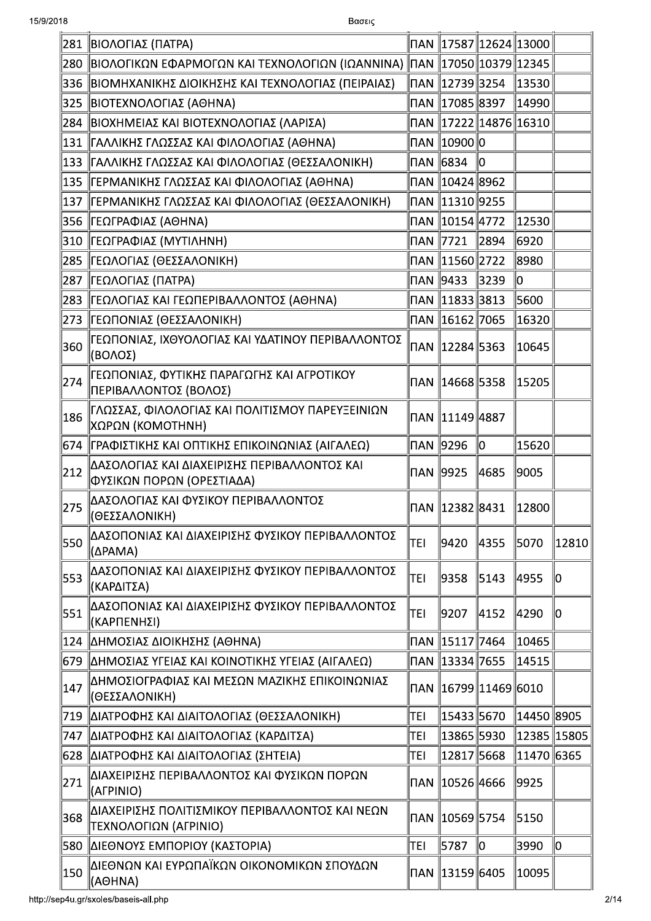| 281           | ΒΙΟΛΟΓΙΑΣ (ΠΑΤΡΑ)                                                         |           |                   | ∏AN   17587  12624  13000 |               |       |
|---------------|---------------------------------------------------------------------------|-----------|-------------------|---------------------------|---------------|-------|
| 280           | ∥ΒΙΟΛΟΓΙΚΩΝ ΕΦΑΡΜΟΓΩΝ ΚΑΙ ΤΕΧΝΟΛΟΓΙΩΝ (ΙΩΑΝΝΙΝΑ) ∥ΠΑΝ ∥17050∥10379∥12345  |           |                   |                           |               |       |
| 336           | ΒΙΟΜΗΧΑΝΙΚΗΣ ΔΙΟΙΚΗΣΗΣ ΚΑΙ ΤΕΧΝΟΛΟΓΙΑΣ (ΠΕΙΡΑΙΑΣ)                         |           |                   |                           | 13530         |       |
| 325           | ∥ΒΙΟΤΕΧΝΟΛΟΓΙΑΣ (ΑΘΗΝΑ)                                                   |           |                   |                           | 14990         |       |
| 284           | ΒΙΟΧΗΜΕΙΑΣ ΚΑΙ ΒΙΟΤΕΧΝΟΛΟΓΙΑΣ (ΛΑΡΙΣΑ)                                    |           |                   | ∏AN   17222  14876  16310 |               |       |
| 131           | ΓΑΛΛΙΚΗΣ ΓΛΩΣΣΑΣ ΚΑΙ ΦΙΛΟΛΟΓΙΑΣ (ΑΘΗΝΑ)                                   |           | ΠAN ∥10900∥0      |                           |               |       |
| 133           | ΓΑΛΛΙΚΗΣ ΓΛΩΣΣΑΣ ΚΑΙ ΦΙΛΟΛΟΓΙΑΣ (ΘΕΣΣΑΛΟΝΙΚΗ)                             |           |                   | 10                        |               |       |
| 135           | ΓΕΡΜΑΝΙΚΗΣ ΓΛΩΣΣΑΣ ΚΑΙ ΦΙΛΟΛΟΓΙΑΣ (ΑΘΗΝΑ)                                 |           |                   |                           |               |       |
| 137           | ΓΕΡΜΑΝΙΚΗΣ ΓΛΩΣΣΑΣ ΚΑΙ ΦΙΛΟΛΟΓΙΑΣ (ΘΕΣΣΑΛΟΝΙΚΗ)                           |           |                   |                           |               |       |
| 356           | ∥ΓΕΩΓΡΑΦΙΑΣ (ΑΘΗΝΑ)                                                       |           | ∏AN 10154 4772    |                           | 12530         |       |
| 310           | ΓΕΩΓΡΑΦΙΑΣ (ΜΥΤΙΛΗΝΗ)                                                     | ΠAN 17721 |                   | $\ 2894\ $                | 6920          |       |
| 285           | ∥ΓΕΩΛΟΓΙΑΣ (ΘΕΣΣΑΛΟΝΙΚΗ)                                                  |           | ∏AN 11560 2722    |                           | 8980          |       |
| 287           | ∥ΓΕΩΛΟΓΙΑΣ (ΠΑΤΡΑ)                                                        | ∏AN 19433 |                   | 3239                      | 10            |       |
| 283           | ΓΕΩΛΟΓΙΑΣ ΚΑΙ ΓΕΩΠΕΡΙΒΑΛΛΟΝΤΟΣ (AΘΗΝΑ)                                    |           |                   |                           | 5600          |       |
| 273           | ΓΕΩΠΟΝΙΑΣ (ΘΕΣΣΑΛΟΝΙΚΗ)                                                   |           | ∏AN 16162 7065    |                           | 16320         |       |
| 360           | ΓΕΩΠΟΝΙΑΣ, ΙΧΘΥΟΛΟΓΙΑΣ ΚΑΙ ΥΔΑΤΙΝΟΥ ΠΕΡΙΒΑΛΛΟΝΤΟΣ<br>(ΒΟΛΟΣ)              |           |                   |                           | 10645         |       |
| 274           | ∥ΓΕΩΠΟΝΙΑΣ, ΦΥΤΙΚΗΣ ΠΑΡΑΓΩΓΗΣ ΚΑΙ ΑΓΡΟΤΙΚΟΥ<br>ΠΕΡΙΒΑΛΛΟΝΤΟΣ (ΒΟΛΟΣ)      |           |                   |                           | 15205         |       |
| 186           | ΓΛΩΣΣΑΣ, ΦΙΛΟΛΟΓΙΑΣ ΚΑΙ ΠΟΛΙΤΙΣΜΟΥ ΠΑΡΕΥΞΕΙΝΙΩΝ<br> ΧΩΡΩΝ (ΚΟΜΟΤΗΝΗ)      |           |                   |                           |               |       |
|               | 674   ΓΡΑΦΙΣΤΙΚΗΣ ΚΑΙ ΟΠΤΙΚΗΣ ΕΠΙΚΟΙΝΩΝΙΑΣ (ΑΙΓΑΛΕΩ)                      |           | ∏AN 2996          | 0                         | 15620         |       |
| 212           | ΔΑΣΟΛΟΓΙΑΣ ΚΑΙ ΔΙΑΧΕΙΡΙΣΗΣ ΠΕΡΙΒΑΛΛΟΝΤΟΣ ΚΑΙ<br>ΦΥΣΙΚΩΝ ΠΟΡΩΝ (ΟΡΕΣΤΙΑΔΑ) |           | <b>NAN 9925</b>   | 4685                      | 9005          |       |
| 275           | ΔΑΣΟΛΟΓΙΑΣ ΚΑΙ ΦΥΣΙΚΟΥ ΠΕΡΙΒΑΛΛΟΝΤΟΣ<br>(ΘΕΣΣΑΛΟΝΙΚΗ)                     |           |                   |                           | 12800         |       |
| 550           | ΔΑΣΟΠΟΝΙΑΣ ΚΑΙ ΔΙΑΧΕΙΡΙΣΗΣ ΦΥΣΙΚΟΥ ΠΕΡΙΒΑΛΛΟΝΤΟΣ<br>(ΔPAMA)               | TEI       | 9420              | ∥4355                     | 5070          | 12810 |
| 553           | ΔΑΣΟΠΟΝΙΑΣ ΚΑΙ ΔΙΑΧΕΙΡΙΣΗΣ ΦΥΣΙΚΟΥ ΠΕΡΙΒΑΛΛΟΝΤΟΣ<br>(ΚΑΡΔΙΤΣΑ)            | TEI       | ∥9358             | 5143                      | 4955          | 10    |
| 551           | ΔΑΣΟΠΟΝΙΑΣ ΚΑΙ ΔΙΑΧΕΙΡΙΣΗΣ ΦΥΣΙΚΟΥ ΠΕΡΙΒΑΛΛΟΝΤΟΣ<br>(ΚΑΡΠΕΝΗΣΙ)           | TEI       | 9207              | 4152                      | 4290          | 10    |
| 124           | ΔΗΜΟΣΙΑΣ ΔΙΟΙΚΗΣΗΣ (ΑΘΗΝΑ)                                                |           | ∏AN   15117  7464 |                           | 10465         |       |
| 679           | ΔΗΜΟΣΙΑΣ ΥΓΕΙΑΣ ΚΑΙ ΚΟΙΝΟΤΙΚΗΣ ΥΓΕΙΑΣ (ΑΙΓΑΛΕΩ)                           |           |                   |                           | 14515         |       |
| 147           | ΔΗΜΟΣΙΟΓΡΑΦΙΑΣ ΚΑΙ ΜΕΣΩΝ ΜΑΖΙΚΗΣ ΕΠΙΚΟΙΝΩΝΙΑΣ<br>(ΘΕΣΣΑΛΟΝΙΚΗ)            |           |                   | ∏AN   16799  11469  6010  |               |       |
| 719           | ΔΙΑΤΡΟΦΗΣ ΚΑΙ ΔΙΑΙΤΟΛΟΓΙΑΣ (ΘΕΣΣΑΛΟΝΙΚΗ)                                  | TEI       | 15433 5670        |                           | 14450  8905   |       |
| 747           | ΔΙΑΤΡΟΦΗΣ ΚΑΙ ΔΙΑΙΤΟΛΟΓΙΑΣ (ΚΑΡΔΙΤΣΑ)                                     | TEI       | 13865 5930        |                           | 12385   15805 |       |
| 628           | ΔΙΑΤΡΟΦΗΣ ΚΑΙ ΔΙΑΙΤΟΛΟΓΙΑΣ (ΣΗΤΕΙΑ)                                       | TEI       | 12817 5668        |                           | 11470 6365    |       |
| 271           | ΔΙΑΧΕΙΡΙΣΗΣ ΠΕΡΙΒΑΛΛΟΝΤΟΣ ΚΑΙ ΦΥΣΙΚΩΝ ΠΟΡΩΝ<br>(AFPINIO)                  |           |                   |                           | 9925          |       |
| 368           | ΔΙΑΧΕΙΡΙΣΗΣ ΠΟΛΙΤΙΣΜΙΚΟΥ ΠΕΡΙΒΑΛΛΟΝΤΟΣ ΚΑΙ ΝΕΩΝ<br>ΤΕΧΝΟΛΟΓΙΩΝ (ΑΓΡΙΝΙΟ)  |           |                   |                           | 5150          |       |
| 580           | ΔΙΕΘΝΟΥΣ ΕΜΠΟΡΙΟΥ (ΚΑΣΤΟΡΙΑ)                                              | TEI       | 5787              | llo                       | 3990          | 10    |
| $ 150\rangle$ | ΔΙΕΘΝΩΝ ΚΑΙ ΕΥΡΩΠΑΪΚΩΝ ΟΙΚΟΝΟΜΙΚΩΝ ΣΠΟΥΔΩΝ<br>(AOHNA)                     |           |                   |                           | 10095         |       |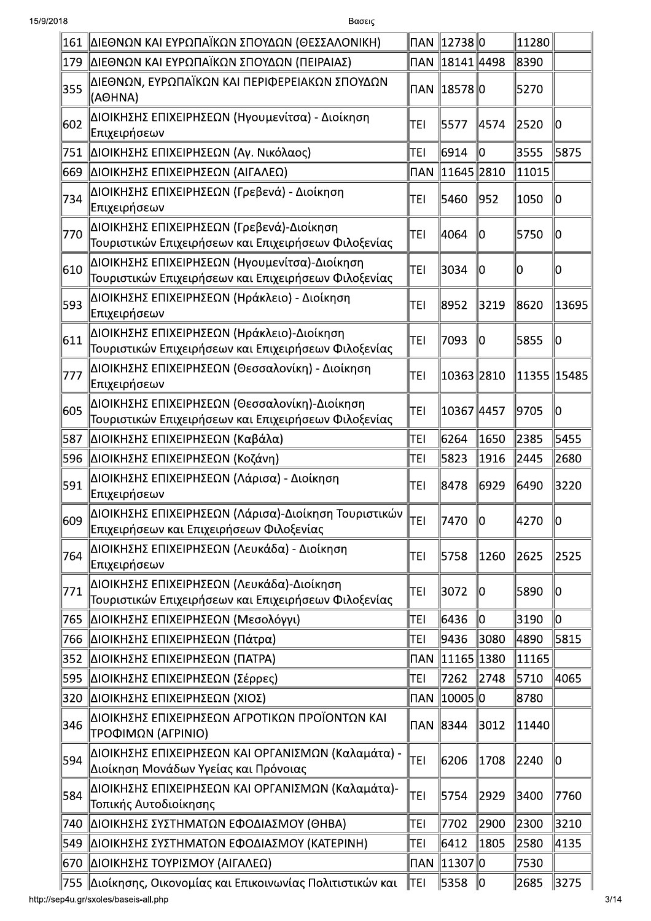| 161 | ΔΙΕΘΝΩΝ ΚΑΙ ΕΥΡΩΠΑΪΚΩΝ ΣΠΟΥΔΩΝ (ΘΕΣΣΑΛΟΝΙΚΗ)                                                                            |            | ΠAN 12738 0            |      | 11280       |       |
|-----|-------------------------------------------------------------------------------------------------------------------------|------------|------------------------|------|-------------|-------|
| 179 | ΔΙΕΘΝΩΝ ΚΑΙ ΕΥΡΩΠΑΪΚΩΝ ΣΠΟΥΔΩΝ (ΠΕΙΡΑΙΑΣ)                                                                               |            | ΠAN 18141 4498         |      | 8390        |       |
| 355 | ΔΙΕΘΝΩΝ, ΕΥΡΩΠΑΪΚΩΝ ΚΑΙ ΠΕΡΙΦΕΡΕΙΑΚΩΝ ΣΠΟΥΔΩΝ<br>(AOHNA)                                                                |            | ΠAN 18578 0            |      | 5270        |       |
| 602 | ΔΙΟΙΚΗΣΗΣ ΕΠΙΧΕΙΡΗΣΕΩΝ (Ηγουμενίτσα) - Διοίκηση<br> Επιχειρήσεων                                                        | TEI        | 5577                   | 4574 | 2520        | 10    |
| 751 | ΔΙΟΙΚΗΣΗΣ ΕΠΙΧΕΙΡΗΣΕΩΝ (Αγ. Νικόλαος)                                                                                   | TEI        | 6914                   | 10   | 3555        | 5875  |
| 669 | ΔΙΟΙΚΗΣΗΣ ΕΠΙΧΕΙΡΗΣΕΩΝ (ΑΙΓΑΛΕΩ)                                                                                        | <b>NAN</b> | 11645  2810            |      | 11015       |       |
| 734 | ΔΙΟΙΚΗΣΗΣ ΕΠΙΧΕΙΡΗΣΕΩΝ (Γρεβενά) - Διοίκηση<br>Επιχειρήσεων                                                             | TEI        | 5460                   | 952  | 1050        | 10    |
| 770 | ΔΙΟΙΚΗΣΗΣ ΕΠΙΧΕΙΡΗΣΕΩΝ (Γρεβενά)-Διοίκηση<br>Τουριστικών Επιχειρήσεων και Επιχειρήσεων Φιλοξενίας                       | TEI        | 4064                   | 10   | 5750        | 110   |
| 610 | ΔΙΟΙΚΗΣΗΣ ΕΠΙΧΕΙΡΗΣΕΩΝ (Ηγουμενίτσα)-Διοίκηση<br>Τουριστικών Επιχειρήσεων και Επιχειρήσεων Φιλοξενίας                   | TEI        | 3034                   | 10   | O           | llo   |
| 593 | ΔΙΟΙΚΗΣΗΣ ΕΠΙΧΕΙΡΗΣΕΩΝ (Ηράκλειο) - Διοίκηση<br>Επιχειρήσεων                                                            | TEI        | 8952                   | 3219 | 8620        | 13695 |
| 611 | ΔΙΟΙΚΗΣΗΣ ΕΠΙΧΕΙΡΗΣΕΩΝ (Ηράκλειο)-Διοίκηση<br>Τουριστικών Επιχειρήσεων και Επιχειρήσεων Φιλοξενίας                      | TEI        | 7093                   | 10   | 5855        | 10    |
| 777 | ΔΙΟΙΚΗΣΗΣ ΕΠΙΧΕΙΡΗΣΕΩΝ (Θεσσαλονίκη) - Διοίκηση<br>Επιχειρήσεων                                                         | TEI        | 10363 2810             |      | 11355 15485 |       |
| 605 | ΔΙΟΙΚΗΣΗΣ ΕΠΙΧΕΙΡΗΣΕΩΝ (Θεσσαλονίκη)-Διοίκηση<br>Τουριστικών Επιχειρήσεων και Επιχειρήσεων Φιλοξενίας                   | <b>TEI</b> | 10367 4457             |      | 9705        | llo   |
| 587 | ΔΙΟΙΚΗΣΗΣ ΕΠΙΧΕΙΡΗΣΕΩΝ (Καβάλα)                                                                                         | TEI        | 6264                   | 1650 | 2385        | 5455  |
| 596 | ΔΙΟΙΚΗΣΗΣ ΕΠΙΧΕΙΡΗΣΕΩΝ (Κοζάνη)                                                                                         | TEI        | 5823                   | 1916 | 2445        | 2680  |
| 591 | ΔΙΟΙΚΗΣΗΣ ΕΠΙΧΕΙΡΗΣΕΩΝ (Λάρισα) - Διοίκηση<br>Επιχειρήσεων                                                              | TEI        | 8478                   | 6929 | 6490        | 3220  |
| 609 | <br> ΔΙΟΙΚΗΣΗΣ ΕΠΙΧΕΙΡΗΣΕΩΝ (Λάρισα)-Διοίκηση Τουριστικών    <sub>ΤΕΙ</sub><br>Επιχειρήσεων και Επιχειρήσεων Φιλοξενίας |            | 7470                   | lo   | 4270        | ∥U    |
| 764 | ΔΙΟΙΚΗΣΗΣ ΕΠΙΧΕΙΡΗΣΕΩΝ (Λευκάδα) - Διοίκηση<br>Επιχειρήσεων                                                             | TEI        | 5758                   | 1260 | 2625        | 2525  |
| 771 | ΔΙΟΙΚΗΣΗΣ ΕΠΙΧΕΙΡΗΣΕΩΝ (Λευκάδα)-Διοίκηση<br>Τουριστικών Επιχειρήσεων και Επιχειρήσεων Φιλοξενίας                       | TEI        | 3072                   | 10   | 5890        | 10    |
| 765 | ΔΙΟΙΚΗΣΗΣ ΕΠΙΧΕΙΡΗΣΕΩΝ (Μεσολόγγι)                                                                                      | TEI        | 6436                   | 10   | 3190        | llo   |
| 766 | ΔΙΟΙΚΗΣΗΣ ΕΠΙΧΕΙΡΗΣΕΩΝ (Πάτρα)                                                                                          | TEI        | 9436                   | 3080 | 4890        | 5815  |
| 352 | ΔΙΟΙΚΗΣΗΣ ΕΠΙΧΕΙΡΗΣΕΩΝ (ΠΑΤΡΑ)                                                                                          | <b>NAN</b> | $\ 11165\ 1380$        |      | 11165       |       |
| 595 | ΔΙΟΙΚΗΣΗΣ ΕΠΙΧΕΙΡΗΣΕΩΝ (Σέρρες)                                                                                         | TEI        | 7262                   | 2748 | 5710        | ∥4065 |
| 320 | ΔΙΟΙΚΗΣΗΣ ΕΠΙΧΕΙΡΗΣΕΩΝ (ΧΙΟΣ)                                                                                           |            | ΠAN <u>∥</u> 10005   0 |      | 8780        |       |
| 346 | ΔΙΟΙΚΗΣΗΣ ΕΠΙΧΕΙΡΗΣΕΩΝ ΑΓΡΟΤΙΚΩΝ ΠΡΟΪΟΝΤΩΝ ΚΑΙ<br>ΤΡΟΦΙΜΩΝ (ΑΓΡΙΝΙΟ)                                                    | ΠAN 8344   |                        | 3012 | 11440       |       |
| 594 | ΔΙΟΙΚΗΣΗΣ ΕΠΙΧΕΙΡΗΣΕΩΝ ΚΑΙ ΟΡΓΑΝΙΣΜΩΝ (Καλαμάτα) -<br> Διοίκηση Μονάδων Υγείας και Πρόνοιας                             | TEI        | 6206                   | 1708 | 2240        | 10    |
| 584 | ΔΙΟΙΚΗΣΗΣ ΕΠΙΧΕΙΡΗΣΕΩΝ ΚΑΙ ΟΡΓΑΝΙΣΜΩΝ (Καλαμάτα)-<br>Τοπικής Αυτοδιοίκησης                                              | TEI        | 5754                   | 2929 | 3400        | 17760 |
| 740 | ΔΙΟΙΚΗΣΗΣ ΣΥΣΤΗΜΑΤΩΝ ΕΦΟΔΙΑΣΜΟΥ (ΘΗΒΑ)                                                                                  | TEI        | 7702                   | 2900 | 2300        | 3210  |
| 549 | ΔΙΟΙΚΗΣΗΣ ΣΥΣΤΗΜΑΤΩΝ ΕΦΟΔΙΑΣΜΟΥ (ΚΑΤΕΡΙΝΗ)                                                                              | TEI        | 6412                   | 1805 | 2580        | 4135  |
| 670 | ΔΙΟΙΚΗΣΗΣ ΤΟΥΡΙΣΜΟΥ (ΑΙΓΑΛΕΩ)                                                                                           |            | ∏AN   11307   0        |      | 7530        |       |
| 755 | ∥Διοίκησης, Οικονομίας και Επικοινωνίας Πολιτιστικών και                                                                | ∥TEI       | 5358                   | 0    | 2685        | 3275  |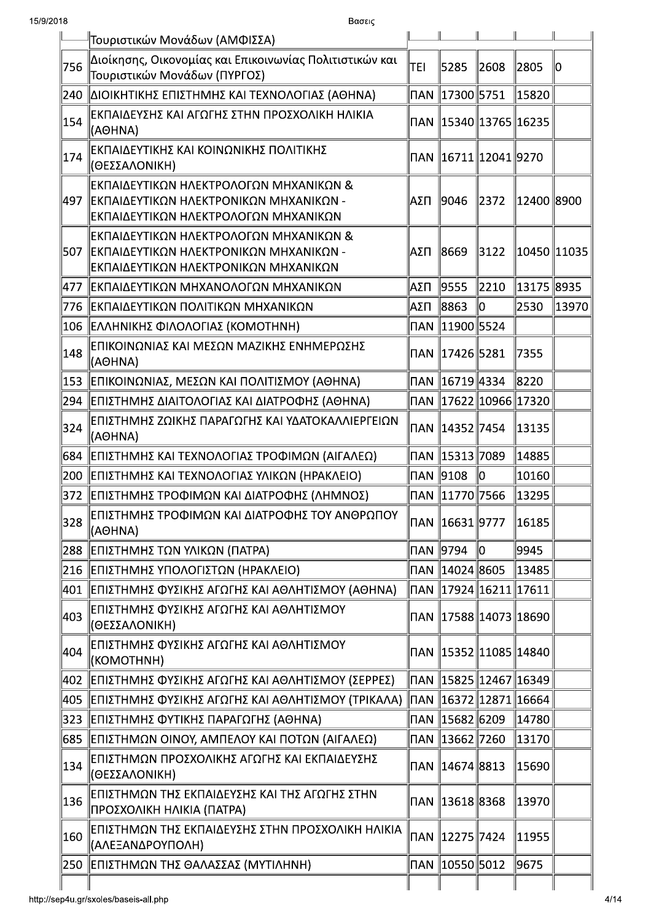| 15/9/2018 | Βασεις                                                                                                                      |            |                          |               |                                    |       |
|-----------|-----------------------------------------------------------------------------------------------------------------------------|------------|--------------------------|---------------|------------------------------------|-------|
|           | Τουριστικών Μονάδων (ΑΜΦΙΣΣΑ)                                                                                               |            |                          |               |                                    |       |
| 756       | Διοίκησης, Οικονομίας και Επικοινωνίας Πολιτιστικών και<br>Τουριστικών Μονάδων (ΠΥΡΓΟΣ)                                     | TEI        | 5285                     | 2608          | 2805                               | lo    |
|           | 240 ΔΙΟΙΚΗΤΙΚΗΣ ΕΠΙΣΤΗΜΗΣ ΚΑΙ ΤΕΧΝΟΛΟΓΙΑΣ (ΑΘΗΝΑ)                                                                           |            |                          |               | 15820                              |       |
| 154       | ΙΕΚΠΑΙΔΕΥΣΗΣ ΚΑΙ ΑΓΩΓΗΣ ΣΤΗΝ ΠΡΟΣΧΟΛΙΚΗ ΗΛΙΚΙΑ<br>(AOHNA)                                                                   |            |                          |               | ∏AN   15340  13765  16235          |       |
| 174       | <b>ΙΕΚΠΑΙΔΕΥΤΙΚΗΣ ΚΑΙ ΚΟΙΝΩΝΙΚΗΣ ΠΟΛΙΤΙΚΗΣ</b><br> (ΘΕΣΣΑΛΟΝΙΚΗ)                                                            |            | ∏AN   16711  12041  9270 |               |                                    |       |
| 497       | ΙΕΚΠΑΙΔΕΥΤΙΚΩΝ ΗΛΕΚΤΡΟΛΟΓΩΝ ΜΗΧΑΝΙΚΩΝ &<br>∥ΕΚΠΑΙΔΕΥΤΙΚΩΝ ΗΛΕΚΤΡΟΝΙΚΩΝ ΜΗΧΑΝΙΚΩΝ -<br>ΙΕΚΠΑΙΔΕΥΤΙΚΩΝ ΗΛΕΚΤΡΟΛΟΓΩΝ ΜΗΧΑΝΙΚΩΝ | ΙΑΣΠ       | 9046                     | 2372          | 12400  8900                        |       |
| 507       | ΙΕΚΠΑΙΔΕΥΤΙΚΩΝ ΗΛΕΚΤΡΟΛΟΓΩΝ ΜΗΧΑΝΙΚΩΝ &<br>∥ΕΚΠΑΙΔΕΥΤΙΚΩΝ ΗΛΕΚΤΡΟΝΙΚΩΝ ΜΗΧΑΝΙΚΩΝ -<br> ΕΚΠΑΙΔΕΥΤΙΚΩΝ ΗΛΕΚΤΡΟΝΙΚΩΝ ΜΗΧΑΝΙΚΩΝ | ΙΑΣΠ       | 8669                     | 3122          | 10450  11035                       |       |
| 477       | ∥ΕΚΠΑΙΔΕΥΤΙΚΩΝ ΜΗΧΑΝΟΛΟΓΩΝ ΜΗΧΑΝΙΚΩΝ                                                                                        | ΑΣΠ        | ∥9555                    | 2210          | 13175  8935                        |       |
| 776       | <b>ΙΕΚΠΑΙΔΕΥΤΙΚΩΝ ΠΟΛΙΤΙΚΩΝ ΜΗΧΑΝΙΚΩΝ</b>                                                                                   | ΑΣΠ        | 8863                     | 10            | 2530                               | 13970 |
| 106       | ΕΛΛΗΝΙΚΗΣ ΦΙΛΟΛΟΓΙΑΣ (ΚΟΜΟΤΗΝΗ)                                                                                             | <b>NAN</b> | $\ 11900\ 5524$          |               |                                    |       |
| 148       | ΕΠΙΚΟΙΝΩΝΙΑΣ ΚΑΙ ΜΕΣΩΝ ΜΑΖΙΚΗΣ ΕΝΗΜΕΡΩΣΗΣ<br>(AOHNA)                                                                        |            |                          |               | 7355                               |       |
|           | 153   ΕΠΙΚΟΙΝΩΝΙΑΣ, ΜΕΣΩΝ ΚΑΙ ΠΟΛΙΤΙΣΜΟΥ (ΑΘΗΝΑ)                                                                            |            |                          |               | 8220                               |       |
|           | 294   ΕΠΙΣΤΗΜΗΣ ΔΙΑΙΤΟΛΟΓΙΑΣ ΚΑΙ ΔΙΑΤΡΟΦΗΣ (ΑΘΗΝΑ)                                                                          |            |                          |               | ПА <u>N   17622  10966  17320 </u> |       |
| 324       | ∥ΕΠΙΣΤΗΜΗΣ ΖΩΙΚΗΣ ΠΑΡΑΓΩΓΗΣ ΚΑΙ ΥΔΑΤΟΚΑΛΛΙΕΡΓΕΙΩΝ<br>(AOHNA)                                                                |            | ∥∏AN ∥14352∥7454         |               | $\parallel$ 13135                  |       |
|           | 684   ΕΠΙΣΤΗΜΗΣ ΚΑΙ ΤΕΧΝΟΛΟΓΙΑΣ ΤΡΟΦΙΜΩΝ (ΑΙΓΑΛΕΩ)                                                                          |            |                          |               | 14885                              |       |
|           | 200 ΕΠΙΣΤΗΜΗΣ ΚΑΙ ΤΕΧΝΟΛΟΓΙΑΣ ΥΛΙΚΩΝ (ΗΡΑΚΛΕΙΟ)                                                                             |            | NAN 2108                 | $\parallel$ 0 | 10160                              |       |
|           | 372   ΕΠΙΣΤΗΜΗΣ ΤΡΟΦΙΜΩΝ ΚΑΙ ΔΙΑΤΡΟΦΗΣ (ΛΗΜΝΟΣ)                                                                             |            | NAN 11770 7566∣          |               | 13295                              |       |
| 328       | ΕΠΙΣΤΗΜΗΣ ΤΡΟΦΙΜΩΝ ΚΑΙ ΔΙΑΤΡΟΦΗΣ ΤΟΥ ΑΝΘΡΩΠΟΥ<br>(AOHNA)                                                                    |            | ∏AN   16631   9777       |               | ∥16185                             |       |
| 288       | ΕΠΙΣΤΗΜΗΣ ΤΩΝ ΥΛΙΚΩΝ (ΠΑΤΡΑ)                                                                                                |            |                          | $\ 0\ $       | 9945                               |       |
|           | 216 ΕΠΙΣΤΗΜΗΣ ΥΠΟΛΟΓΙΣΤΩΝ (ΗΡΑΚΛΕΙΟ)                                                                                        |            |                          |               | 13485                              |       |
|           | 401   ΕΠΙΣΤΗΜΗΣ ΦΥΣΙΚΗΣ ΑΓΩΓΗΣ ΚΑΙ ΑΘΛΗΤΙΣΜΟΥ (ΑΘΗΝΑ)                                                                       |            |                          |               | ∏AN   17924   16211   17611        |       |
| 403       | ΙΕΠΙΣΤΗΜΗΣ ΦΥΣΙΚΗΣ ΑΓΩΓΗΣ ΚΑΙ ΑΘΛΗΤΙΣΜΟΥ<br> (ΘΕΣΣΑΛΟΝΙΚΗ)                                                                  |            |                          |               | ∏AN   17588  14073  18690          |       |
| 404       | ΙΕΠΙΣΤΗΜΗΣ ΦΥΣΙΚΗΣ ΑΓΩΓΗΣ ΚΑΙ ΑΘΛΗΤΙΣΜΟΥ<br>(KOMOTHNH)                                                                      |            |                          |               | ∏AN   15352  11085  14840          |       |
|           | 402   ΕΠΙΣΤΗΜΗΣ ΦΥΣΙΚΗΣ ΑΓΩΓΗΣ ΚΑΙ ΑΘΛΗΤΙΣΜΟΥ (ΣΕΡΡΕΣ)                                                                      |            |                          |               | ∏AN   15825  12467  16349          |       |
| 405       | ΕΠΙΣΤΗΜΗΣ ΦΥΣΙΚΗΣ ΑΓΩΓΗΣ ΚΑΙ ΑΘΛΗΤΙΣΜΟΥ (ΤΡΙΚΑΛΑ)                                                                           |            |                          |               | ∥NAN   16372   12871   16664       |       |
| 323       | <b>ΙΕΠΙΣΤΗΜΗΣ ΦΥΤΙΚΗΣ ΠΑΡΑΓΩΓΗΣ (ΑΘΗΝΑ)</b>                                                                                 |            | ΠAN 15682 6209           |               | 14780                              |       |
| 685       | ∥ΕΠΙΣΤΗΜΩΝ ΟΙΝΟΥ, ΑΜΠΕΛΟΥ ΚΑΙ ΠΟΤΩΝ (ΑΙΓΑΛΕΩ)                                                                               |            |                          |               | 13170                              |       |
| 134       | ∥ΕΠΙΣΤΗΜΩΝ ΠΡΟΣΧΟΛΙΚΗΣ ΑΓΩΓΗΣ ΚΑΙ ΕΚΠΑΙΔΕΥΣΗΣ<br>(ΘΕΣΣΑΛΟΝΙΚΗ)                                                              |            |                          |               | 15690                              |       |
| 136       | ∥ΕΠΙΣΤΗΜΩΝ ΤΗΣ ΕΚΠΑΙΔΕΥΣΗΣ ΚΑΙ ΤΗΣ ΑΓΩΓΗΣ ΣΤΗΝ<br>∥ΠΡΟΣΧΟΛΙΚΗ ΗΛΙΚΙΑ (ΠΑΤΡΑ)                                                |            | ∏AN   13618  8368        |               | 13970                              |       |
| 160       | ∥ΕΠΙΣΤΗΜΩΝ ΤΗΣ ΕΚΠΑΙΔΕΥΣΗΣ ΣΤΗΝ ΠΡΟΣΧΟΛΙΚΗ ΗΛΙΚΙΑ<br> (ΑΛΕΞΑΝΔΡΟΥΠΟΛΗ)                                                      |            | ∏AN 12275 7424           |               | 11955                              |       |
|           | 250 ΕΠΙΣΤΗΜΩΝ ΤΗΣ ΘΑΛΑΣΣΑΣ (ΜΥΤΙΛΗΝΗ)                                                                                       |            | ∏AN 10550 5012           |               | 9675                               |       |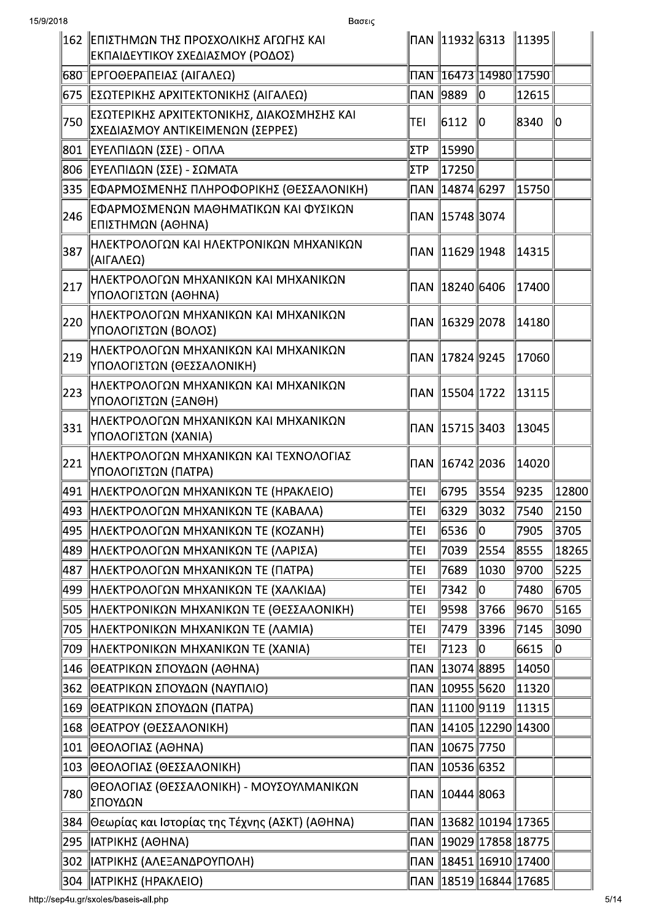|     | 162   ΕΠΙΣΤΗΜΩΝ ΤΗΣ ΠΡΟΣΧΟΛΙΚΗΣ ΑΓΩΓΗΣ ΚΑΙ<br>ΕΚΠΑΙΔΕΥΤΙΚΟΥ ΣΧΕΔΙΑΣΜΟΥ (ΡΟΔΟΣ)         |           | ∏AN   11932   6313 |                           | $\ 11395\ $                        |       |
|-----|----------------------------------------------------------------------------------------|-----------|--------------------|---------------------------|------------------------------------|-------|
|     | 680  ΕΡΓΟΘΕΡΑΠΕΙΑΣ (ΑΙΓΑΛΕΩ)                                                           |           |                    |                           | ∏AN   16473  14980  17590          |       |
|     | 675   ΕΣΩΤΕΡΙΚΗΣ ΑΡΧΙΤΕΚΤΟΝΙΚΗΣ (ΑΙΓΑΛΕΩ)                                              | ∏AN ∥9889 |                    | 10                        | 12615                              |       |
| 750 | <u> ΕΣΩΤΕΡΙΚΗΣ ΑΡΧΙΤΕΚΤΟΝΙΚΗΣ, ΔΙΑΚΟΣΜΗΣΗΣ ΚΑΙ</u><br>ΣΧΕΔΙΑΣΜΟΥ ΑΝΤΙΚΕΙΜΕΝΩΝ (ΣΕΡΡΕΣ) | TEI       | 6112               | 10                        | 8340                               | 10    |
| 801 | ΕΥΕΛΠΙΔΩΝ (ΣΣΕ) - ΟΠΛΑ                                                                 | ΣΤΡ       | 15990              |                           |                                    |       |
| 806 | ∥ΕΥΕΛΠΙΔΩΝ (ΣΣΕ) - ΣΩΜΑΤΑ                                                              | ΣΤΡ       | 17250              |                           |                                    |       |
| 335 | ΕΦΑΡΜΟΣΜΕΝΗΣ ΠΛΗΡΟΦΟΡΙΚΗΣ (ΘΕΣΣΑΛΟΝΙΚΗ)                                                |           | ∏AN   14874  6297  |                           | 15750                              |       |
| 246 | ΕΦΑΡΜΟΣΜΕΝΩΝ ΜΑΘΗΜΑΤΙΚΩΝ ΚΑΙ ΦΥΣΙΚΩΝ<br>ΕΠΙΣΤΗΜΩΝ (ΑΘΗΝΑ)                              |           | ∏AN 15748 3074     |                           |                                    |       |
| 387 | ΗΛΕΚΤΡΟΛΟΓΩΝ ΚΑΙ ΗΛΕΚΤΡΟΝΙΚΩΝ ΜΗΧΑΝΙΚΩΝ<br>(ΑΙΓΑΛΕΩ)                                   |           |                    |                           | 14315                              |       |
| 217 | ΗΛΕΚΤΡΟΛΟΓΩΝ ΜΗΧΑΝΙΚΩΝ ΚΑΙ ΜΗΧΑΝΙΚΩΝ<br>ΥΠΟΛΟΓΙΣΤΩΝ (ΑΘΗΝΑ)                            |           | ∏AN   18240  6406  |                           | 17400                              |       |
| 220 | ΗΛΕΚΤΡΟΛΟΓΩΝ ΜΗΧΑΝΙΚΩΝ ΚΑΙ ΜΗΧΑΝΙΚΩΝ<br> ΥΠΟΛΟΓΙΣΤΩΝ (ΒΟΛΟΣ)                           |           |                    |                           | 14180                              |       |
| 219 | ΗΛΕΚΤΡΟΛΟΓΩΝ ΜΗΧΑΝΙΚΩΝ ΚΑΙ ΜΗΧΑΝΙΚΩΝ<br>ΥΠΟΛΟΓΙΣΤΩΝ (ΘΕΣΣΑΛΟΝΙΚΗ)                      |           |                    |                           | 17060                              |       |
| 223 | ΗΛΕΚΤΡΟΛΟΓΩΝ ΜΗΧΑΝΙΚΩΝ ΚΑΙ ΜΗΧΑΝΙΚΩΝ<br>ΥΠΟΛΟΓΙΣΤΩΝ (ΞΑΝΘΗ)                            |           |                    |                           | 13115                              |       |
| 331 | ΗΛΕΚΤΡΟΛΟΓΩΝ ΜΗΧΑΝΙΚΩΝ ΚΑΙ ΜΗΧΑΝΙΚΩΝ<br>ΥΠΟΛΟΓΙΣΤΩΝ (ΧΑΝΙΑ)                            |           |                    |                           | 13045                              |       |
| 221 | ΗΛΕΚΤΡΟΛΟΓΩΝ ΜΗΧΑΝΙΚΩΝ ΚΑΙ ΤΕΧΝΟΛΟΓΙΑΣ<br>ΥΠΟΛΟΓΙΣΤΩΝ (ΠΑΤΡΑ)                          |           |                    |                           | 14020                              |       |
| 491 | ΗΛΕΚΤΡΟΛΟΓΩΝ ΜΗΧΑΝΙΚΩΝ ΤΕ (ΗΡΑΚΛΕΙΟ)                                                   | TEI       | 6795               | 3554                      | 9235                               | 12800 |
|     | 493   ΗΛΕΚΤΡΟΛΟΓΩΝ ΜΗΧΑΝΙΚΩΝ ΤΕ (ΚΑΒΑΛΑ)                                               | TEI       | 6329               | 3032                      | 7540                               | 2150  |
|     | ∥495 ∥ΗΛΕΚΤΡΟΛΟΓΩΝ ΜΗΧΑΝΙΚΩΝ ΤΕ (ΚΟΖΑΝΗ)                                               | TEI       | 6536               | 10                        | 7905                               | 3705  |
| 489 | ∥ΗΛΕΚΤΡΟΛΟΓΩΝ ΜΗΧΑΝΙΚΩΝ ΤΕ (ΛΑΡΙΣΑ)                                                    | TEI       | 7039               | 2554                      | 8555                               | 18265 |
|     | 487   ΗΛΕΚΤΡΟΛΟΓΩΝ ΜΗΧΑΝΙΚΩΝ ΤΕ (ΠΑΤΡΑ)                                                | TEI       | 7689               | 1030                      | 9700                               | 5225  |
| 499 | ΗΛΕΚΤΡΟΛΟΓΩΝ ΜΗΧΑΝΙΚΩΝ ΤΕ (ΧΑΛΚΙΔΑ)                                                    | TEI       | 7342               | 10                        | 7480                               | 6705  |
|     | 505   ΗΛΕΚΤΡΟΝΙΚΩΝ ΜΗΧΑΝΙΚΩΝ ΤΕ (ΘΕΣΣΑΛΟΝΙΚΗ)                                          | TEI       | 9598               | 3766                      | 9670                               | 5165  |
| 705 | ΗΛΕΚΤΡΟΝΙΚΩΝ ΜΗΧΑΝΙΚΩΝ ΤΕ (ΛΑΜΙΑ)                                                      | TEI       | 7479               | 3396                      | 7145                               | 3090  |
|     | 709   ΗΛΕΚΤΡΟΝΙΚΩΝ ΜΗΧΑΝΙΚΩΝ ΤΕ (ΧΑΝΙΑ)                                                | TEI       | 7123               | IО                        | 6615                               | 0     |
| 146 | ΘΕΑΤΡΙΚΩΝ ΣΠΟΥΔΩΝ (ΑΘΗΝΑ)                                                              |           |                    |                           | 14050                              |       |
| 362 | ∥ΘΕΑΤΡΙΚΩΝ ΣΠΟΥΔΩΝ (ΝΑΥΠΛΙΟ)                                                           |           | ∏AN   10955  5620  |                           | 11320                              |       |
| 169 | ΘΕΑΤΡΙΚΩΝ ΣΠΟΥΔΩΝ (ΠΑΤΡΑ)                                                              |           | ∏AN 11100 9119     |                           | 11315                              |       |
|     | 168   ΘΕΑΤΡΟΥ (ΘΕΣΣΑΛΟΝΙΚΗ)                                                            |           |                    | ∏AN   14105  12290  14300 |                                    |       |
| 101 | ΘΕΟΛΟΓΙΑΣ (ΑΘΗΝΑ)                                                                      |           | ΠAN ∥10675∥7750    |                           |                                    |       |
|     | 103   ΘΕΟΛΟΓΙΑΣ (ΘΕΣΣΑΛΟΝΙΚΗ)                                                          |           | ПАN ∥10536∥6352    |                           |                                    |       |
| 780 | ΘΕΟΛΟΓΙΑΣ (ΘΕΣΣΑΛΟΝΙΚΗ) - ΜΟΥΣΟΥΛΜΑΝΙΚΩΝ<br>ΣΠΟΥΔΩΝ                                    |           |                    |                           |                                    |       |
| 384 | Θεωρίας και Ιστορίας της Τέχνης (ΑΣΚΤ) (ΑΘΗΝΑ)                                         |           |                    |                           |                                    |       |
| 295 | ΙΑΤΡΙΚΗΣ (ΑΘΗΝΑ)                                                                       |           |                    |                           |                                    |       |
| 302 | ∥ΙΑΤΡΙΚΗΣ (ΑΛΕΞΑΝΔΡΟΥΠΟΛΗ)                                                             |           |                    |                           | ∏AN 18451 16910 17400              |       |
|     | 304   ΑΤΡΙΚΗΣ (ΗΡΑΚΛΕΙΟ)                                                               |           |                    |                           | ∏AN   18519  16844  17685 <i> </i> |       |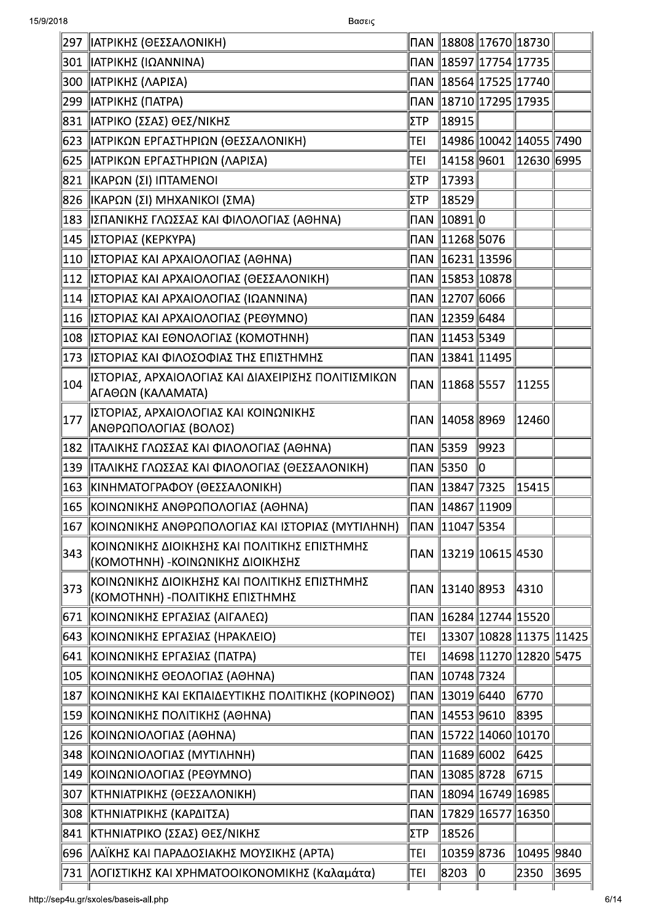| 297           | ΙΑΤΡΙΚΗΣ (ΘΕΣΣΑΛΟΝΙΚΗ)                                                            |                 |                                                  |      |                            |      |
|---------------|-----------------------------------------------------------------------------------|-----------------|--------------------------------------------------|------|----------------------------|------|
| 301           | ΙΑΤΡΙΚΗΣ (ΙΩΑΝΝΙΝΑ)                                                               |                 |                                                  |      |                            |      |
| 300           | ΙΑΤΡΙΚΗΣ (ΛΑΡΙΣΑ)                                                                 |                 | ПАN 18564 17525 17740                            |      |                            |      |
| 299           | ΙΑΤΡΙΚΗΣ (ΠΑΤΡΑ)                                                                  |                 | ∏AN   18710  17295  17935                        |      |                            |      |
| 831           | ΙΑΤΡΙΚΟ (ΣΣΑΣ) ΘΕΣ/ΝΙΚΗΣ                                                          | ΣTΡ             | 18915                                            |      |                            |      |
| 623           | ΙΑΤΡΙΚΩΝ ΕΡΓΑΣΤΗΡΙΩΝ (ΘΕΣΣΑΛΟΝΙΚΗ)                                                | TEI             |                                                  |      | 14986  10042  14055  7490  |      |
| 625           | ΙΑΤΡΙΚΩΝ ΕΡΓΑΣΤΗΡΙΩΝ (ΛΑΡΙΣΑ)                                                     | TEI             | 14158  9601                                      |      | 12630  6995                |      |
| 821           | ΙΚΑΡΩΝ (ΣΙ) ΙΠΤΑΜΕΝΟΙ                                                             | ΣΤΡ             | ∥17393                                           |      |                            |      |
| 826           | ΙΚΑΡΩΝ (ΣΙ) ΜΗΧΑΝΙΚΟΙ (ΣΜΑ)                                                       | ΣTΡ             | 18529                                            |      |                            |      |
| 183           | ΙΣΠΑΝΙΚΗΣ ΓΛΩΣΣΑΣ ΚΑΙ ΦΙΛΟΛΟΓΙΑΣ (ΑΘΗΝΑ)                                          |                 | ΠAN ∥10891∥0                                     |      |                            |      |
| 145           | ΙΣΤΟΡΙΑΣ (ΚΕΡΚΥΡΑ)                                                                |                 | ∏AN 11268 5076                                   |      |                            |      |
| 110           | ΙΣΤΟΡΙΑΣ ΚΑΙ ΑΡΧΑΙΟΛΟΓΙΑΣ (ΑΘΗΝΑ)                                                 |                 |                                                  |      |                            |      |
| $ 112\rangle$ | ΙΣΤΟΡΙΑΣ ΚΑΙ ΑΡΧΑΙΟΛΟΓΙΑΣ (ΘΕΣΣΑΛΟΝΙΚΗ)                                           |                 |                                                  |      |                            |      |
| 114           | ΙΣΤΟΡΙΑΣ ΚΑΙ ΑΡΧΑΙΟΛΟΓΙΑΣ (ΙΩΑΝΝΙΝΑ)                                              |                 | ПАN ∥12707∥6066                                  |      |                            |      |
| 116           | ΙΣΤΟΡΙΑΣ ΚΑΙ ΑΡΧΑΙΟΛΟΓΙΑΣ (ΡΕΘΥΜΝΟ)                                               |                 |                                                  |      |                            |      |
| 108           | ΙΣΤΟΡΙΑΣ ΚΑΙ ΕΘΝΟΛΟΓΙΑΣ (ΚΟΜΟΤΗΝΗ)                                                |                 |                                                  |      |                            |      |
| 173           | ΙΣΤΟΡΙΑΣ ΚΑΙ ΦΙΛΟΣΟΦΙΑΣ ΤΗΣ ΕΠΙΣΤΗΜΗΣ                                             |                 | ∏AN 13841 11495                                  |      |                            |      |
| 104           | ΙΣΤΟΡΙΑΣ, ΑΡΧΑΙΟΛΟΓΙΑΣ ΚΑΙ ΔΙΑΧΕΙΡΙΣΗΣ ΠΟΛΙΤΙΣΜΙΚΩΝ<br>ΑΓΑΘΩΝ (ΚΑΛΑΜΑΤΑ)          |                 | ΠAN   11868   5557                               |      | 11255                      |      |
| 177           | ΙΣΤΟΡΙΑΣ, ΑΡΧΑΙΟΛΟΓΙΑΣ ΚΑΙ ΚΟΙΝΩΝΙΚΗΣ<br> ΑΝΘΡΩΠΟΛΟΓΙΑΣ (ΒΟΛΟΣ)                   |                 |                                                  |      | 12460                      |      |
| 182           | ΙΤΑΛΙΚΗΣ ΓΛΩΣΣΑΣ ΚΑΙ ΦΙΛΟΛΟΓΙΑΣ (ΑΘΗΝΑ)                                           |                 |                                                  | 9923 |                            |      |
| 139           | ∥ΙΤΑΛΙΚΗΣ ΓΛΩΣΣΑΣ ΚΑΙ ΦΙΛΟΛΟΓΙΑΣ (ΘΕΣΣΑΛΟΝΙΚΗ)                                    | ∏AN <b>5350</b> |                                                  | 10   |                            |      |
| 163           | ΚΙΝΗΜΑΤΟΓΡΑΦΟΥ (ΘΕΣΣΑΛΟΝΙΚΗ)                                                      |                 | ∏AN 13847 7325                                   |      | 15415                      |      |
| 165           | ΚΟΙΝΩΝΙΚΗΣ ΑΝΘΡΩΠΟΛΟΓΙΑΣ (ΑΘΗΝΑ)                                                  |                 | $\mid$ NAN $\parallel$ 14867 $\mid$ 11909 $\mid$ |      |                            |      |
| 167           | ΚΟΙΝΩΝΙΚΗΣ ΑΝΘΡΩΠΟΛΟΓΙΑΣ ΚΑΙ ΙΣΤΟΡΙΑΣ (ΜΥΤΙΛΗΝΗ)                                  |                 | ΠAN   11047  5354                                |      |                            |      |
| 343           | ΚΟΙΝΩΝΙΚΗΣ ΔΙΟΙΚΗΣΗΣ ΚΑΙ ΠΟΛΙΤΙΚΗΣ ΕΠΙΣΤΗΜΗΣ<br>(ΚΟΜΟΤΗΝΗ) - ΚΟΙΝΩΝΙΚΗΣ ΔΙΟΙΚΗΣΗΣ |                 | ΠAN 13219 10615 4530                             |      |                            |      |
| 373           | ΚΟΙΝΩΝΙΚΗΣ ΔΙΟΙΚΗΣΗΣ ΚΑΙ ΠΟΛΙΤΙΚΗΣ ΕΠΙΣΤΗΜΗΣ<br>(ΚΟΜΟΤΗΝΗ) -ΠΟΛΙΤΙΚΗΣ ΕΠΙΣΤΗΜΗΣ   |                 |                                                  |      | 4310                       |      |
| 671           | ΚΟΙΝΩΝΙΚΗΣ ΕΡΓΑΣΙΑΣ (ΑΙΓΑΛΕΩ)                                                     |                 |                                                  |      |                            |      |
| 643           | ΚΟΙΝΩΝΙΚΗΣ ΕΡΓΑΣΙΑΣ (ΗΡΑΚΛΕΙΟ)                                                    | TEI             |                                                  |      | 13307  10828  11375  11425 |      |
| 641           | ΚΟΙΝΩΝΙΚΗΣ ΕΡΓΑΣΙΑΣ (ΠΑΤΡΑ)                                                       | TEI             |                                                  |      | 14698  11270  12820  5475  |      |
| 105           | ΚΟΙΝΩΝΙΚΗΣ ΘΕΟΛΟΓΙΑΣ (ΑΘΗΝΑ)                                                      |                 | ∏AN 10748 7324                                   |      |                            |      |
| 187           | ΚΟΙΝΩΝΙΚΗΣ ΚΑΙ ΕΚΠΑΙΔΕΥΤΙΚΗΣ ΠΟΛΙΤΙΚΗΣ (ΚΟΡΙΝΘΟΣ)                                 |                 |                                                  |      | 6770                       |      |
| 159           | ΚΟΙΝΩΝΙΚΗΣ ΠΟΛΙΤΙΚΗΣ (ΑΘΗΝΑ)                                                      |                 | ∏AN 14553 9610                                   |      | 8395                       |      |
| 126           | ΚΟΙΝΩΝΙΟΛΟΓΙΑΣ (ΑΘΗΝΑ)                                                            |                 | ∏AN 15722 14060 10170                            |      |                            |      |
| 348           | ΚΟΙΝΩΝΙΟΛΟΓΙΑΣ (ΜΥΤΙΛΗΝΗ)                                                         |                 | ΠAN 11689 6002                                   |      | 6425                       |      |
| 149           | ΚΟΙΝΩΝΙΟΛΟΓΙΑΣ (ΡΕΘΥΜΝΟ)                                                          |                 | ∏AN 13085 8728                                   |      | 6715                       |      |
| 307           | ΚΤΗΝΙΑΤΡΙΚΗΣ (ΘΕΣΣΑΛΟΝΙΚΗ)                                                        |                 | ∏AN   18094  16749  16985                        |      |                            |      |
| 308           | ΚΤΗΝΙΑΤΡΙΚΗΣ (ΚΑΡΔΙΤΣΑ)                                                           |                 |                                                  |      |                            |      |
| 841           | ΚΤΗΝΙΑΤΡΙΚΟ (ΣΣΑΣ) ΘΕΣ/ΝΙΚΗΣ                                                      | ΣΤΡ             | ∥18526                                           |      |                            |      |
| 696           | ΛΑΪΚΗΣ ΚΑΙ ΠΑΡΑΔΟΣΙΑΚΗΣ ΜΟΥΣΙΚΗΣ (ΑΡΤΑ)                                           | TEI             | 10359 8736                                       |      | 10495   9840               |      |
|               | 731   ΛΟΓΙΣΤΙΚΗΣ ΚΑΙ ΧΡΗΜΑΤΟΟΙΚΟΝΟΜΙΚΗΣ (Καλαμάτα)                                | TEI             | 8203                                             | 10   | 2350                       | 3695 |
|               |                                                                                   |                 |                                                  |      |                            |      |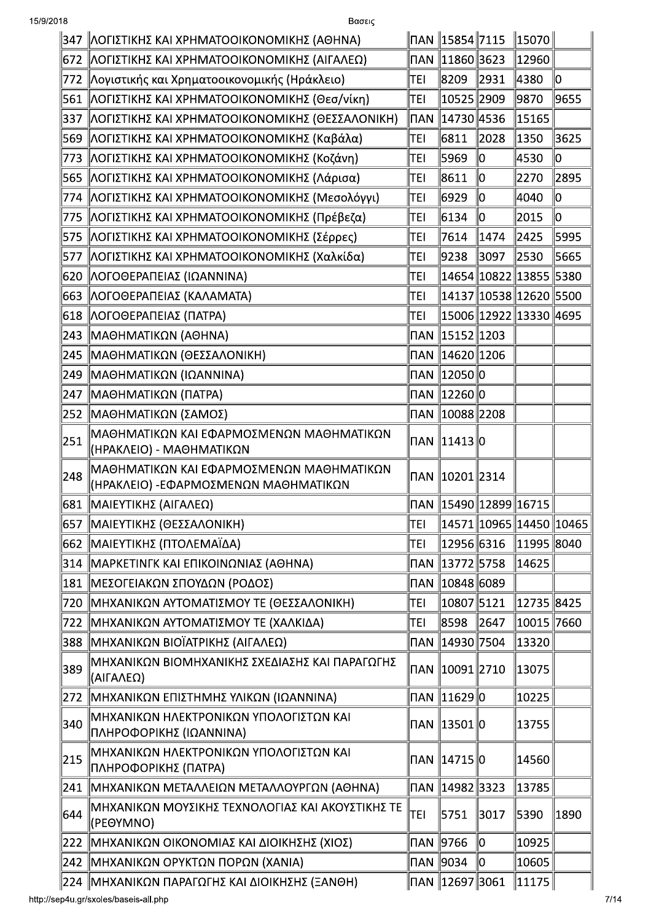| 15/9/2018 | Βασεις                                                                            |                            |                            |                  |             |      |
|-----------|-----------------------------------------------------------------------------------|----------------------------|----------------------------|------------------|-------------|------|
|           | 347   ΛΟΓΙΣΤΙΚΗΣ ΚΑΙ ΧΡΗΜΑΤΟΟΙΚΟΝΟΜΙΚΗΣ (ΑΘΗΝΑ)                                   |                            | ∥ΠAN ∥15854∥7115           |                  | $\ 15070\ $ |      |
| 672       | ΛΟΓΙΣΤΙΚΗΣ ΚΑΙ ΧΡΗΜΑΤΟΟΙΚΟΝΟΜΙΚΗΣ (ΑΙΓΑΛΕΩ)                                       |                            | ∏AN   11860  3623          |                  | 12960       |      |
| 772       | Λογιστικής και Χρηματοοικονομικής (Ηράκλειο)                                      | TEI                        | 8209                       | $\ 2931$         | ∥4380       | 10   |
| 561       | ΛΟΓΙΣΤΙΚΗΣ ΚΑΙ ΧΡΗΜΑΤΟΟΙΚΟΝΟΜΙΚΗΣ (Θεσ/νίκη)                                      | TEI                        | 10525  2909                |                  | 9870        | 9655 |
| 337       | ΛΟΓΙΣΤΙΚΗΣ ΚΑΙ ΧΡΗΜΑΤΟΟΙΚΟΝΟΜΙΚΗΣ (ΘΕΣΣΑΛΟΝΙΚΗ)                                   |                            | ΠAN   14730  4536          |                  | 15165       |      |
| 569       | ΛΟΓΙΣΤΙΚΗΣ ΚΑΙ ΧΡΗΜΑΤΟΟΙΚΟΝΟΜΙΚΗΣ (Καβάλα)                                        | TEI                        | 6811                       | 2028             | ∥1350       | 3625 |
| 773       | ΛΟΓΙΣΤΙΚΗΣ ΚΑΙ ΧΡΗΜΑΤΟΟΙΚΟΝΟΜΙΚΗΣ (Κοζάνη)                                        | TEI                        | 15969                      | llo              | 4530        | 10   |
| 565       | ΛΟΓΙΣΤΙΚΗΣ ΚΑΙ ΧΡΗΜΑΤΟΟΙΚΟΝΟΜΙΚΗΣ (Λάρισα)                                        | TEI                        | 8611                       | $\parallel$ 0    | 2270        | 2895 |
| 774       | ΛΟΓΙΣΤΙΚΗΣ ΚΑΙ ΧΡΗΜΑΤΟΟΙΚΟΝΟΜΙΚΗΣ (Μεσολόγγι)                                     | TEI                        | 16929                      | 10               | 4040        | 10   |
| 775       | ΛΟΓΙΣΤΙΚΗΣ ΚΑΙ ΧΡΗΜΑΤΟΟΙΚΟΝΟΜΙΚΗΣ (Πρέβεζα)                                       | TEI                        | 6134                       | $\parallel$ 0    | 2015        | 10   |
| 575       | ΛΟΓΙΣΤΙΚΗΣ ΚΑΙ ΧΡΗΜΑΤΟΟΙΚΟΝΟΜΙΚΗΣ (Σέρρες)                                        | TEI                        | 7614                       | $\parallel$ 1474 | $\ 2425$    | 5995 |
| 577       | ΛΟΓΙΣΤΙΚΗΣ ΚΑΙ ΧΡΗΜΑΤΟΟΙΚΟΝΟΜΙΚΗΣ (Χαλκίδα)                                       | TEI                        | 9238                       | 3097             | 2530        | 5665 |
| 620       | ΛΟΓΟΘΕΡΑΠΕΙΑΣ (ΙΩΑΝΝΙΝΑ)                                                          | <b>TEI</b>                 | 14654  10822  13855  5380  |                  |             |      |
| 663       | ΛΟΓΟΘΕΡΑΠΕΙΑΣ (ΚΑΛΑΜΑΤΑ)                                                          | TEI                        | 14137  10538  12620  5500  |                  |             |      |
| 618       | ΛΟΓΟΘΕΡΑΠΕΙΑΣ (ΠΑΤΡΑ)                                                             | TEI                        | 15006  12922  13330  4695  |                  |             |      |
| 243       | <b>MAGHMATIKΩN (AGHNA)</b>                                                        |                            | ∏AN 15152 1203             |                  |             |      |
| 245       | ∥ΜΑΘΗΜΑΤΙΚΩΝ (ΘΕΣΣΑΛΟΝΙΚΗ)                                                        |                            | ΠAN   14620  1206          |                  |             |      |
| 249       | ΜΑΘΗΜΑΤΙΚΩΝ (ΙΩΑΝΝΙΝΑ)                                                            |                            | ΠAN   12050   0            |                  |             |      |
| 247       | ∥ΜΑΘΗΜΑΤΙΚΩΝ (ΠΑΤΡΑ)                                                              |                            | ΠAN   12260   0            |                  |             |      |
|           | 252   ΜΑΘΗΜΑΤΙΚΩΝ (ΣΑΜΟΣ)                                                         |                            | ∏AN   10088   2208         |                  |             |      |
| 251       | ΜΑΘΗΜΑΤΙΚΩΝ ΚΑΙ ΕΦΑΡΜΟΣΜΕΝΩΝ ΜΑΘΗΜΑΤΙΚΩΝ<br> (ΗΡΑΚΛΕΙΟ) - ΜΑΘΗΜΑΤΙΚΩΝ             |                            | ΠAN 11413   0              |                  |             |      |
| 248       | ΜΑΘΗΜΑΤΙΚΩΝ ΚΑΙ ΕΦΑΡΜΟΣΜΕΝΩΝ ΜΑΘΗΜΑΤΙΚΩΝ<br> (ΗΡΑΚΛΕΙΟ) -ΕΦΑΡΜΟΣΜΕΝΩΝ ΜΑΘΗΜΑΤΙΚΩΝ |                            | ∏AN   10201   2314         |                  |             |      |
|           | 681   ΜΑΙΕΥΤΙΚΗΣ (ΑΙΓΑΛΕΩ)                                                        |                            |                            |                  |             |      |
| 657       | ΜΑΙΕΥΤΙΚΗΣ (ΘΕΣΣΑΛΟΝΙΚΗ)                                                          | TEI                        | 14571  10965  14450  10465 |                  |             |      |
|           | 662   ΜΑΙΕΥΤΙΚΗΣ (ΠΤΟΛΕΜΑΪΔΑ)                                                     | TEI                        | 12956 6316                 |                  | 11995 8040  |      |
| 314       | ΜΑΡΚΕΤΙΝΓΚ ΚΑΙ ΕΠΙΚΟΙΝΩΝΙΑΣ (ΑΘΗΝΑ)                                               |                            | ∏AN   13772   5758         |                  | 14625       |      |
| 181       | ΜΕΣΟΓΕΙΑΚΩΝ ΣΠΟΥΔΩΝ (ΡΟΔΟΣ)                                                       | $\mathsf{\Pi} \mathsf{AN}$ | $\ 10848\ 6089$            |                  |             |      |
| 720       | ΜΗΧΑΝΙΚΩΝ ΑΥΤΟΜΑΤΙΣΜΟΥ ΤΕ (ΘΕΣΣΑΛΟΝΙΚΗ)                                           | TEI                        | 10807  5121                |                  | 12735 8425  |      |
| 722       | ΜΗΧΑΝΙΚΩΝ ΑΥΤΟΜΑΤΙΣΜΟΥ ΤΕ (ΧΑΛΚΙΔΑ)                                               | TEI                        | 8598                       | 2647             | 10015 7660  |      |
| 388       | ∥ΜΗΧΑΝΙΚΩΝ ΒΙΟΪΑΤΡΙΚΗΣ (ΑΙΓΑΛΕΩ)                                                  |                            |                            |                  | 13320       |      |
| 389       | ΜΗΧΑΝΙΚΩΝ ΒΙΟΜΗΧΑΝΙΚΗΣ ΣΧΕΔΙΑΣΗΣ ΚΑΙ ΠΑΡΑΓΩΓΗΣ<br>(ΑΙΓΑΛΕΩ)                       |                            | ∏AN   10091   2710         |                  | 13075       |      |
|           | 272   ΜΗΧΑΝΙΚΩΝ ΕΠΙΣΤΗΜΗΣ ΥΛΙΚΩΝ (ΙΩΑΝΝΙΝΑ)                                       |                            | ΠAN 11629 ο                |                  | 10225       |      |
| 340       | ΜΗΧΑΝΙΚΩΝ ΗΛΕΚΤΡΟΝΙΚΩΝ ΥΠΟΛΟΓΙΣΤΩΝ ΚΑΙ<br>ΠΛΗΡΟΦΟΡΙΚΗΣ (ΙΩΑΝΝΙΝΑ)                 |                            | ΠAN   13501   0            |                  | 13755       |      |
| 215       | ΜΗΧΑΝΙΚΩΝ ΗΛΕΚΤΡΟΝΙΚΩΝ ΥΠΟΛΟΓΙΣΤΩΝ ΚΑΙ<br>ΠΛΗΡΟΦΟΡΙΚΗΣ (ΠΑΤΡΑ)                    |                            | ΠAN 14715 ο                |                  | 14560       |      |
| 241       | ΜΗΧΑΝΙΚΩΝ ΜΕΤΑΛΛΕΙΩΝ ΜΕΤΑΛΛΟΥΡΓΩΝ (ΑΘΗΝΑ)                                         |                            | ∏AN   14982   3323         |                  | 13785       |      |
| 644       | ΜΗΧΑΝΙΚΩΝ ΜΟΥΣΙΚΗΣ ΤΕΧΝΟΛΟΓΙΑΣ ΚΑΙ ΑΚΟΥΣΤΙΚΗΣ ΤΕ<br>(PEOYMNO)                     | TEI                        | 5751                       | 3017             | 5390        | 1890 |
| 222       | ΜΗΧΑΝΙΚΩΝ ΟΙΚΟΝΟΜΙΑΣ ΚΑΙ ΔΙΟΙΚΗΣΗΣ (ΧΙΟΣ)                                         |                            | ∏AN   9766                 | 10               | 10925       |      |
|           | 242   ΜΗΧΑΝΙΚΩΝ ΟΡΥΚΤΩΝ ΠΟΡΩΝ (ΧΑΝΙΑ)                                             |                            | ∏AN   9034                 | llo              | 10605       |      |
|           | 224   ΜΗΧΑΝΙΚΩΝ ΠΑΡΑΓΩΓΗΣ ΚΑΙ ΔΙΟΙΚΗΣΗΣ (ΞΑΝΘΗ)                                   |                            | ∏AN   12697  3061          |                  | $\ 11175\ $ |      |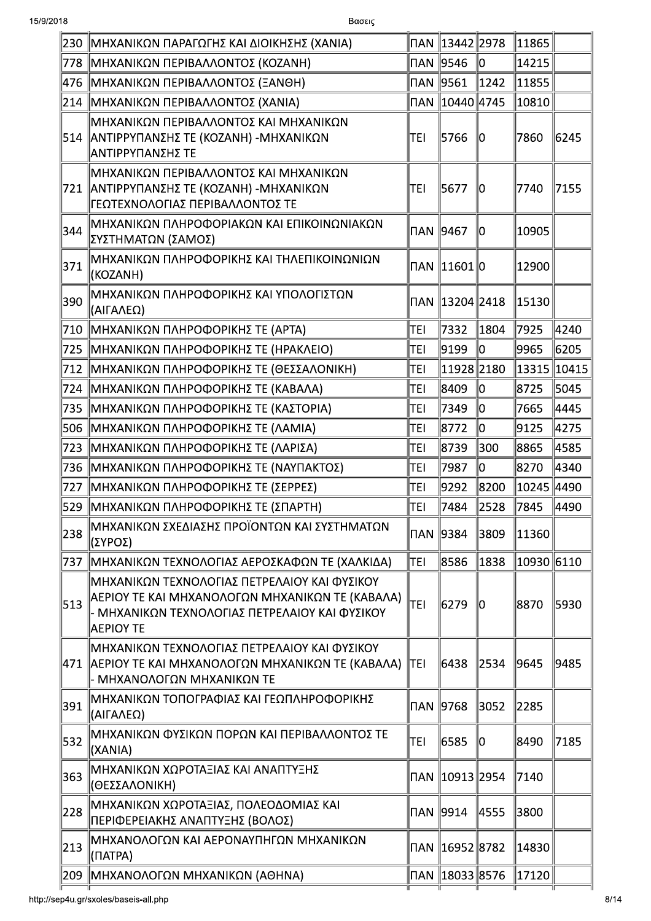| <b>NAN 9546</b><br>lo<br>14215<br> ΜΗΧΑΝΙΚΩΝ ΠΕΡΙΒΑΛΛΟΝΤΟΣ (ΚΟΖΑΝΗ)<br>778<br>1242<br>11855<br> ΜΗΧΑΝΙΚΩΝ ΠΕΡΙΒΑΛΛΟΝΤΟΣ (ΞΑΝΘΗ)<br>476<br>10810<br> ΜΗΧΑΝΙΚΩΝ ΠΕΡΙΒΑΛΛΟΝΤΟΣ (ΧΑΝΙΑ)<br>214<br>ΜΗΧΑΝΙΚΩΝ ΠΕΡΙΒΑΛΛΟΝΤΟΣ ΚΑΙ ΜΗΧΑΝΙΚΩΝ<br>  ΑΝΤΙΡΡΥΠΑΝΣΗΣ ΤΕ (ΚΟΖΑΝΗ) -ΜΗΧΑΝΙΚΩΝ<br>5766<br>514<br>TEI<br>7860<br>10<br> ΑΝΤΙΡΡΥΠΑΝΣΗΣ ΤΕ<br>ΙΜΗΧΑΝΙΚΩΝ ΠΕΡΙΒΑΛΛΟΝΤΟΣ ΚΑΙ ΜΗΧΑΝΙΚΩΝ<br>∥ΑΝΤΙΡΡΥΠΑΝΣΗΣ ΤΕ (ΚΟΖΑΝΗ) -ΜΗΧΑΝΙΚΩΝ<br>15677<br>7740<br>721<br>ITEI<br>10<br>ΓΕΩΤΕΧΝΟΛΟΓΙΑΣ ΠΕΡΙΒΑΛΛΟΝΤΟΣ ΤΕ<br> ΜΗΧΑΝΙΚΩΝ ΠΛΗΡΟΦΟΡΙΑΚΩΝ ΚΑΙ ΕΠΙΚΟΙΝΩΝΙΑΚΩΝ<br>344<br> ∏AN   9467<br>lo<br>10905<br>ΣΥΣΤΗΜΑΤΩΝ (ΣΑΜΟΣ)<br> ΜΗΧΑΝΙΚΩΝ ΠΛΗΡΟΦΟΡΙΚΗΣ ΚΑΙ ΤΗΛΕΠΙΚΟΙΝΩΝΙΩΝ<br>371<br>ΠAN ∥11601∥0<br>12900<br>(KOZANH)<br>ΜΗΧΑΝΙΚΩΝ ΠΛΗΡΟΦΟΡΙΚΗΣ ΚΑΙ ΥΠΟΛΟΓΙΣΤΩΝ<br>390<br>15130<br>(ΑΙΓΑΛΕΩ)<br>1804<br>710   ΜΗΧΑΝΙΚΩΝ ΠΛΗΡΟΦΟΡΙΚΗΣ ΤΕ (ΑΡΤΑ)<br>7332<br>7925<br>TEI<br>lo<br>9965<br>∥ΜΗΧΑΝΙΚΩΝ ΠΛΗΡΟΦΟΡΙΚΗΣ ΤΕ (ΗΡΑΚΛΕΙΟ)<br>9199<br>725<br>TEI<br>11928 2180<br>  13315  10415<br>∥ΜΗΧΑΝΙΚΩΝ ΠΛΗΡΟΦΟΡΙΚΗΣ ΤΕ (ΘΕΣΣΑΛΟΝΙΚΗ)<br>712<br>TEI<br>llo<br>8725<br> ΜΗΧΑΝΙΚΩΝ ΠΛΗΡΟΦΟΡΙΚΗΣ ΤΕ (ΚΑΒΑΛΑ)<br>8409<br>724<br>TEI<br>lo<br>∥ΜΗΧΑΝΙΚΩΝ ΠΛΗΡΟΦΟΡΙΚΗΣ ΤΕ (ΚΑΣΤΟΡΙΑ)<br>7349<br>7665<br>735<br> TEI<br>lo<br> ΜΗΧΑΝΙΚΩΝ ΠΛΗΡΟΦΟΡΙΚΗΣ ΤΕ (ΛΑΜΙΑ)<br>8772<br>9125<br>506<br> TEI | 6245<br>7155 |
|---------------------------------------------------------------------------------------------------------------------------------------------------------------------------------------------------------------------------------------------------------------------------------------------------------------------------------------------------------------------------------------------------------------------------------------------------------------------------------------------------------------------------------------------------------------------------------------------------------------------------------------------------------------------------------------------------------------------------------------------------------------------------------------------------------------------------------------------------------------------------------------------------------------------------------------------------------------------------------------------------------------------------------------------------------------------------------------------------------------------------------------------------------------------------------------------------------------------------------------------------------------------|--------------|
|                                                                                                                                                                                                                                                                                                                                                                                                                                                                                                                                                                                                                                                                                                                                                                                                                                                                                                                                                                                                                                                                                                                                                                                                                                                                     |              |
|                                                                                                                                                                                                                                                                                                                                                                                                                                                                                                                                                                                                                                                                                                                                                                                                                                                                                                                                                                                                                                                                                                                                                                                                                                                                     |              |
|                                                                                                                                                                                                                                                                                                                                                                                                                                                                                                                                                                                                                                                                                                                                                                                                                                                                                                                                                                                                                                                                                                                                                                                                                                                                     |              |
|                                                                                                                                                                                                                                                                                                                                                                                                                                                                                                                                                                                                                                                                                                                                                                                                                                                                                                                                                                                                                                                                                                                                                                                                                                                                     |              |
|                                                                                                                                                                                                                                                                                                                                                                                                                                                                                                                                                                                                                                                                                                                                                                                                                                                                                                                                                                                                                                                                                                                                                                                                                                                                     |              |
|                                                                                                                                                                                                                                                                                                                                                                                                                                                                                                                                                                                                                                                                                                                                                                                                                                                                                                                                                                                                                                                                                                                                                                                                                                                                     |              |
|                                                                                                                                                                                                                                                                                                                                                                                                                                                                                                                                                                                                                                                                                                                                                                                                                                                                                                                                                                                                                                                                                                                                                                                                                                                                     |              |
|                                                                                                                                                                                                                                                                                                                                                                                                                                                                                                                                                                                                                                                                                                                                                                                                                                                                                                                                                                                                                                                                                                                                                                                                                                                                     |              |
|                                                                                                                                                                                                                                                                                                                                                                                                                                                                                                                                                                                                                                                                                                                                                                                                                                                                                                                                                                                                                                                                                                                                                                                                                                                                     | 4240         |
|                                                                                                                                                                                                                                                                                                                                                                                                                                                                                                                                                                                                                                                                                                                                                                                                                                                                                                                                                                                                                                                                                                                                                                                                                                                                     | 6205         |
|                                                                                                                                                                                                                                                                                                                                                                                                                                                                                                                                                                                                                                                                                                                                                                                                                                                                                                                                                                                                                                                                                                                                                                                                                                                                     |              |
|                                                                                                                                                                                                                                                                                                                                                                                                                                                                                                                                                                                                                                                                                                                                                                                                                                                                                                                                                                                                                                                                                                                                                                                                                                                                     | 5045         |
|                                                                                                                                                                                                                                                                                                                                                                                                                                                                                                                                                                                                                                                                                                                                                                                                                                                                                                                                                                                                                                                                                                                                                                                                                                                                     | 4445         |
|                                                                                                                                                                                                                                                                                                                                                                                                                                                                                                                                                                                                                                                                                                                                                                                                                                                                                                                                                                                                                                                                                                                                                                                                                                                                     | 4275         |
| 300<br>8865<br>∥ΜΗΧΑΝΙΚΩΝ ΠΛΗΡΟΦΟΡΙΚΗΣ ΤΕ (ΛΑΡΙΣΑ)<br>8739<br>723<br> TEI                                                                                                                                                                                                                                                                                                                                                                                                                                                                                                                                                                                                                                                                                                                                                                                                                                                                                                                                                                                                                                                                                                                                                                                           | 4585         |
| lo<br>8270<br> ΜΗΧΑΝΙΚΩΝ ΠΛΗΡΟΦΟΡΙΚΗΣ ΤΕ (ΝΑΥΠΑΚΤΟΣ)<br> 7987<br>736<br> TEI                                                                                                                                                                                                                                                                                                                                                                                                                                                                                                                                                                                                                                                                                                                                                                                                                                                                                                                                                                                                                                                                                                                                                                                        | 4340         |
| 8200<br>∥10245 ∥4490<br>∥ΜΗΧΑΝΙΚΩΝ ΠΛΗΡΟΦΟΡΙΚΗΣ ΤΕ (ΣΕΡΡΕΣ)<br>9292<br>727<br> TEI                                                                                                                                                                                                                                                                                                                                                                                                                                                                                                                                                                                                                                                                                                                                                                                                                                                                                                                                                                                                                                                                                                                                                                                  |              |
| 2528<br>∥ΜΗΧΑΝΙΚΩΝ ΠΛΗΡΟΦΟΡΙΚΗΣ ΤΕ (ΣΠΑΡΤΗ)<br>7484<br>7845<br>529<br>TEI                                                                                                                                                                                                                                                                                                                                                                                                                                                                                                                                                                                                                                                                                                                                                                                                                                                                                                                                                                                                                                                                                                                                                                                           | 4490         |
| ΜΗΧΑΝΙΚΩΝ ΣΧΕΔΙΑΣΗΣ ΠΡΟΪΟΝΤΩΝ ΚΑΙ ΣΥΣΤΗΜΑΤΩΝ<br>238<br>3809<br>11360<br>(ΣΥΡΟΣ)                                                                                                                                                                                                                                                                                                                                                                                                                                                                                                                                                                                                                                                                                                                                                                                                                                                                                                                                                                                                                                                                                                                                                                                     |              |
| 10930   6110<br>1838<br> ΜΗΧΑΝΙΚΩΝ ΤΕΧΝΟΛΟΓΙΑΣ ΑΕΡΟΣΚΑΦΩΝ ΤΕ (ΧΑΛΚΙΔΑ)<br> TEI<br>8586<br>737                                                                                                                                                                                                                                                                                                                                                                                                                                                                                                                                                                                                                                                                                                                                                                                                                                                                                                                                                                                                                                                                                                                                                                       |              |
| ΜΗΧΑΝΙΚΩΝ ΤΕΧΝΟΛΟΓΙΑΣ ΠΕΤΡΕΛΑΙΟΥ ΚΑΙ ΦΥΣΙΚΟΥ<br> ΑΕΡΙΟΥ ΤΕ ΚΑΙ ΜΗΧΑΝΟΛΟΓΩΝ ΜΗΧΑΝΙΚΩΝ ΤΕ (ΚΑΒΑΛΑ)<br>TEI<br>513<br>6279<br>8870<br>l0<br>- ΜΗΧΑΝΙΚΩΝ ΤΕΧΝΟΛΟΓΙΑΣ ΠΕΤΡΕΛΑΙΟΥ ΚΑΙ ΦΥΣΙΚΟΥ<br>ΑΕΡΙΟΥ ΤΕ                                                                                                                                                                                                                                                                                                                                                                                                                                                                                                                                                                                                                                                                                                                                                                                                                                                                                                                                                                                                                                                                 | 5930         |
| ΙΜΗΧΑΝΙΚΩΝ ΤΕΧΝΟΛΟΓΙΑΣ ΠΕΤΡΕΛΑΙΟΥ ΚΑΙ ΦΥΣΙΚΟΥ<br>TEI<br>  ΑΕΡΙΟΥ ΤΕ ΚΑΙ ΜΗΧΑΝΟΛΟΓΩΝ ΜΗΧΑΝΙΚΩΝ ΤΕ (ΚΑΒΑΛΑ)<br>6438<br>2534<br>9645<br> 471<br>- ΜΗΧΑΝΟΛΟΓΩΝ ΜΗΧΑΝΙΚΩΝ ΤΕ                                                                                                                                                                                                                                                                                                                                                                                                                                                                                                                                                                                                                                                                                                                                                                                                                                                                                                                                                                                                                                                                                             | 9485         |
| ΜΗΧΑΝΙΚΩΝ ΤΟΠΟΓΡΑΦΙΑΣ ΚΑΙ ΓΕΩΠΛΗΡΟΦΟΡΙΚΗΣ<br>391<br>3052<br>2285<br>(ΑΙΓΑΛΕΩ)                                                                                                                                                                                                                                                                                                                                                                                                                                                                                                                                                                                                                                                                                                                                                                                                                                                                                                                                                                                                                                                                                                                                                                                       |              |
| ΜΗΧΑΝΙΚΩΝ ΦΥΣΙΚΩΝ ΠΟΡΩΝ ΚΑΙ ΠΕΡΙΒΑΛΛΟΝΤΟΣ ΤΕ<br>532<br> TEI<br>6585<br>8490<br>10<br>(XANIA)                                                                                                                                                                                                                                                                                                                                                                                                                                                                                                                                                                                                                                                                                                                                                                                                                                                                                                                                                                                                                                                                                                                                                                        | 7185         |
| ΜΗΧΑΝΙΚΩΝ ΧΩΡΟΤΑΞΙΑΣ ΚΑΙ ΑΝΑΠΤΥΞΗΣ<br>363<br>7140<br>(ΘΕΣΣΑΛΟΝΙΚΗ)                                                                                                                                                                                                                                                                                                                                                                                                                                                                                                                                                                                                                                                                                                                                                                                                                                                                                                                                                                                                                                                                                                                                                                                                  |              |
| ΜΗΧΑΝΙΚΩΝ ΧΩΡΟΤΑΞΙΑΣ, ΠΟΛΕΟΔΟΜΙΑΣ ΚΑΙ<br>228<br>4555<br>3800<br>ΠΕΡΙΦΕΡΕΙΑΚΗΣ ΑΝΑΠΤΥΞΗΣ (ΒΟΛΟΣ)                                                                                                                                                                                                                                                                                                                                                                                                                                                                                                                                                                                                                                                                                                                                                                                                                                                                                                                                                                                                                                                                                                                                                                     |              |
| ΜΗΧΑΝΟΛΟΓΩΝ ΚΑΙ ΑΕΡΟΝΑΥΠΗΓΩΝ ΜΗΧΑΝΙΚΩΝ<br>213<br>14830<br>(NATPA)                                                                                                                                                                                                                                                                                                                                                                                                                                                                                                                                                                                                                                                                                                                                                                                                                                                                                                                                                                                                                                                                                                                                                                                                   |              |
| 17120<br> 209   ΜΗΧΑΝΟΛΟΓΩΝ ΜΗΧΑΝΙΚΩΝ (ΑΘΗΝΑ)                                                                                                                                                                                                                                                                                                                                                                                                                                                                                                                                                                                                                                                                                                                                                                                                                                                                                                                                                                                                                                                                                                                                                                                                                       |              |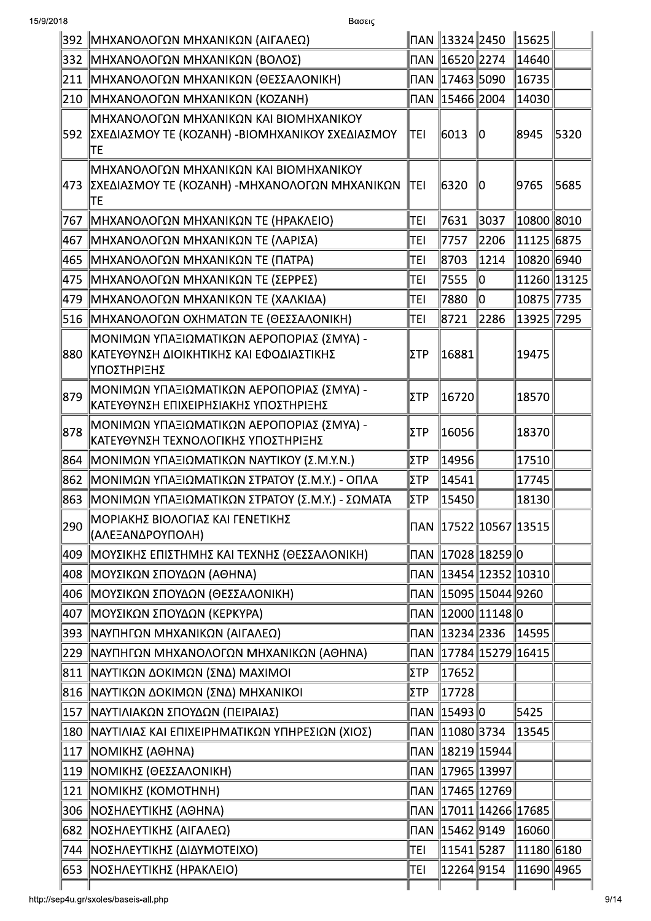| 15/9/2018 | Βασεις                                                                                                             |      |                    |                          |                                    |       |
|-----------|--------------------------------------------------------------------------------------------------------------------|------|--------------------|--------------------------|------------------------------------|-------|
|           | 392   ΜΗΧΑΝΟΛΟΓΩΝ ΜΗΧΑΝΙΚΩΝ (ΑΙΓΑΛΕΩ)                                                                              |      | ∏AN   13324   2450 |                          | $\parallel$ 15625 $\parallel$      |       |
|           | 332   ΜΗΧΑΝΟΛΟΓΩΝ ΜΗΧΑΝΙΚΩΝ (ΒΟΛΟΣ)                                                                                |      | ΠAN   16520  2274  |                          | 14640                              |       |
| 211       | ΜΗΧΑΝΟΛΟΓΩΝ ΜΗΧΑΝΙΚΩΝ (ΘΕΣΣΑΛΟΝΙΚΗ)                                                                                |      | ΠAN   17463  5090  |                          | 16735                              |       |
|           | 210   ΜΗΧΑΝΟΛΟΓΩΝ ΜΗΧΑΝΙΚΩΝ (ΚΟΖΑΝΗ)                                                                               |      | ΠAN   15466   2004 |                          | 14030                              |       |
|           | ΜΗΧΑΝΟΛΟΓΩΝ ΜΗΧΑΝΙΚΩΝ ΚΑΙ ΒΙΟΜΗΧΑΝΙΚΟΥ<br> 592   ΣΧΕΔΙΑΣΜΟΥ ΤΕ (ΚΟΖΑΝΗ) -ΒΙΟΜΗΧΑΝΙΚΟΥ ΣΧΕΔΙΑΣΜΟΥ<br>lte            | TEI  | 16013              | llO                      | 8945                               | 5320  |
|           | ΜΗΧΑΝΟΛΟΓΩΝ ΜΗΧΑΝΙΚΩΝ ΚΑΙ ΒΙΟΜΗΧΑΝΙΚΟΥ<br> 473   ΣΧΕΔΙΑΣΜΟΥ ΤΕ (ΚΟΖΑΝΗ) -ΜΗΧΑΝΟΛΟΓΩΝ ΜΗΧΑΝΙΚΩΝ<br>∥TE              | ltei | 16320              | 10                       | 9765                               | 15685 |
| 767       | ΜΗΧΑΝΟΛΟΓΩΝ ΜΗΧΑΝΙΚΩΝ ΤΕ (ΗΡΑΚΛΕΙΟ)                                                                                | TEI  | 7631               | 3037                     | 10800  8010                        |       |
| 467       | ΜΗΧΑΝΟΛΟΓΩΝ ΜΗΧΑΝΙΚΩΝ ΤΕ (ΛΑΡΙΣΑ)                                                                                  | TEI  | 7757               | 2206                     | 11125 6875                         |       |
| 465       | ΜΗΧΑΝΟΛΟΓΩΝ ΜΗΧΑΝΙΚΩΝ ΤΕ (ΠΑΤΡΑ)                                                                                   | TEI  | 8703               | 1214                     |                                    |       |
| 475       | ΜΗΧΑΝΟΛΟΓΩΝ ΜΗΧΑΝΙΚΩΝ ΤΕ (ΣΕΡΡΕΣ)                                                                                  | TEI  | 7555               | llo                      | 11260 13125                        |       |
| 479       | ΜΗΧΑΝΟΛΟΓΩΝ ΜΗΧΑΝΙΚΩΝ ΤΕ (ΧΑΛΚΙΔΑ)                                                                                 | TEI  | 7880               | lo                       | 10875 7735                         |       |
| 516       | ΜΗΧΑΝΟΛΟΓΩΝ ΟΧΗΜΑΤΩΝ ΤΕ (ΘΕΣΣΑΛΟΝΙΚΗ)                                                                              | TEI  | 8721               | 2286                     | 13925 7295                         |       |
|           | ΜΟΝΙΜΩΝ ΥΠΑΞΙΩΜΑΤΙΚΩΝ ΑΕΡΟΠΟΡΙΑΣ (ΣΜΥΑ) -<br> 880   ΚΑΤΕΥΘΥΝΣΗ ΔΙΟΙΚΗΤΙΚΗΣ ΚΑΙ ΕΦΟΔΙΑΣΤΙΚΗΣ<br><b>ΙΥΠΟΣΤΗΡΙΞΗΣ</b> | IΣTP | 16881              |                          | 19475                              |       |
| 879       | ΜΟΝΙΜΩΝ ΥΠΑΞΙΩΜΑΤΙΚΩΝ ΑΕΡΟΠΟΡΙΑΣ (ΣΜΥΑ) -<br> ΚΑΤΕΥΘΥΝΣΗ ΕΠΙΧΕΙΡΗΣΙΑΚΗΣ ΥΠΟΣΤΗΡΙΞΗΣ                                | ∣ΣTP | 16720              |                          | 18570                              |       |
| 878       | ∥ΜΟΝΙΜΩΝ ΥΠΑΞΙΩΜΑΤΙΚΩΝ ΑΕΡΟΠΟΡΙΑΣ (ΣΜΥΑ) -<br> ΚΑΤΕΥΘΥΝΣΗ ΤΕΧΝΟΛΟΓΙΚΗΣ ΥΠΟΣΤΗΡΙΞΗΣ                                 | ΣΤΡ  | 16056              |                          | 18370                              |       |
| 864       | ΜΟΝΙΜΩΝ ΥΠΑΞΙΩΜΑΤΙΚΩΝ ΝΑΥΤΙΚΟΥ (Σ.Μ.Υ.Ν.)                                                                          | ∣ΣTP | 14956              |                          | 17510                              |       |
|           | 862   ΜΟΝΙΜΩΝ ΥΠΑΞΙΩΜΑΤΙΚΩΝ ΣΤΡΑΤΟΥ (Σ.Μ.Υ.) - ΟΠΛΑ                                                                | ∥ΣTP | 14541              |                          | 17745                              |       |
|           | 863   ΜΟΝΙΜΩΝ ΥΠΑΞΙΩΜΑΤΙΚΩΝ ΣΤΡΑΤΟΥ (Σ.Μ.Υ.) - ΣΩΜΑΤΑ                                                              | ΣTΡ  | $\ 15450\ $        |                          | 18130                              |       |
| 290       | ΜΟΡΙΑΚΗΣ ΒΙΟΛΟΓΙΑΣ ΚΑΙ ΓΕΝΕΤΙΚΗΣ<br> (ΑΛΕΞΑΝΔΡΟΥΠΟΛΗ)                                                              |      |                    |                          | ∏AN   17522  10567  13515          |       |
|           | 409   ΜΟΥΣΙΚΗΣ ΕΠΙΣΤΗΜΗΣ ΚΑΙ ΤΕΧΝΗΣ (ΘΕΣΣΑΛΟΝΙΚΗ)                                                                  |      |                    | ∏AN   17028  18259  0    |                                    |       |
|           | 408   ΜΟΥΣΙΚΩΝ ΣΠΟΥΔΩΝ (ΑΘΗΝΑ)                                                                                     |      |                    |                          | ∏AN   13454  12352  10310          |       |
|           | 406   ΜΟΥΣΙΚΩΝ ΣΠΟΥΔΩΝ (ΘΕΣΣΑΛΟΝΙΚΗ)                                                                               |      |                    | ∏AN   15095  15044  9260 |                                    |       |
|           | 407   ΜΟΥΣΙΚΩΝ ΣΠΟΥΔΩΝ (ΚΕΡΚΥΡΑ)                                                                                   |      |                    | ∏AN   12000  11148  0    |                                    |       |
|           | 393   ΝΑΥΠΗΓΩΝ ΜΗΧΑΝΙΚΩΝ (ΑΙΓΑΛΕΩ)                                                                                 |      |                    |                          | ∏AN   13234  2336   14595          |       |
|           | 229  ΝΑΥΠΗΓΩΝ ΜΗΧΑΝΟΛΟΓΩΝ ΜΗΧΑΝΙΚΩΝ (ΑΘΗΝΑ)                                                                        |      |                    |                          | ∏AN   17784  15279  16415          |       |
|           | 811   ΝΑΥΤΙΚΩΝ ΔΟΚΙΜΩΝ (ΣΝΔ) ΜΑΧΙΜΟΙ                                                                               | ∣ΣTP | 17652              |                          |                                    |       |
|           | 816   ΝΑΥΤΙΚΩΝ ΔΟΚΙΜΩΝ (ΣΝΔ) ΜΗΧΑΝΙΚΟΙ                                                                             | ΣTP  | $\ 17728\ $        |                          |                                    |       |
|           | 157  ΝΑΥΤΙΛΙΑΚΩΝ ΣΠΟΥΔΩΝ (ΠΕΙΡΑΙΑΣ)                                                                                |      | ∏AN   15493   0    |                          | 5425                               |       |
|           | 180  ΝΑΥΤΙΛΙΑΣ ΚΑΙ ΕΠΙΧΕΙΡΗΜΑΤΙΚΩΝ ΥΠΗΡΕΣΙΩΝ (ΧΙΟΣ)                                                                |      | ΠAN   11080  3734  |                          | 13545                              |       |
|           | <b>117   NOMIKHE (AOHNA)</b>                                                                                       |      |                    | ∏AN   18219  15944       |                                    |       |
|           | 119   ΝΟΜΙΚΗΣ (ΘΕΣΣΑΛΟΝΙΚΗ)                                                                                        |      |                    | ∏AN   17965  13997       |                                    |       |
|           | 121   NOMIKHΣ (KOMOTHNH)                                                                                           |      |                    | ∏AN   17465  12769       |                                    |       |
|           | 306   ΝΟΣΗΛΕΥΤΙΚΗΣ (ΑΘΗΝΑ)                                                                                         |      |                    |                          | ∏AN   17011  14266  17685 <i> </i> |       |
|           | 682   ΝΟΣΗΛΕΥΤΙΚΗΣ (ΑΙΓΑΛΕΩ)                                                                                       |      | ΠAN   15462   9149 |                          | 16060                              |       |
|           |                                                                                                                    |      |                    |                          |                                    |       |
|           | 744   ΝΟΣΗΛΕΥΤΙΚΗΣ (ΔΙΔΥΜΟΤΕΙΧΟ)                                                                                   | TEI  | ∥11541∥5287        |                          | $\ 11180\ 6180$                    |       |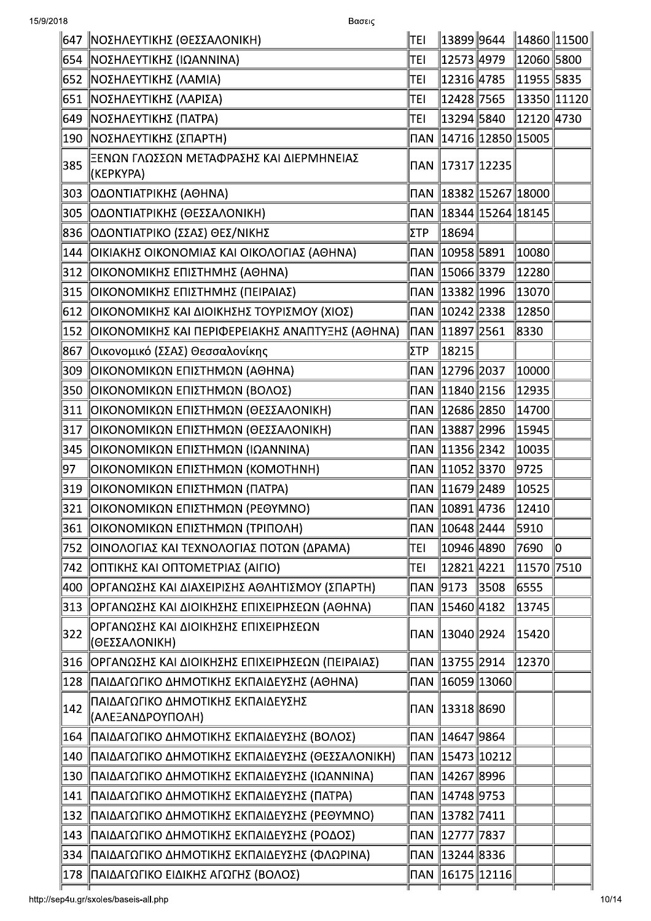|               | 647   ΝΟΣΗΛΕΥΤΙΚΗΣ (ΘΕΣΣΑΛΟΝΙΚΗ)                       | TEI  |                               |      | $\parallel$ 13899 $\parallel$ 9644 $\parallel$ 14860 $\parallel$ 11500 $\parallel$ |    |
|---------------|--------------------------------------------------------|------|-------------------------------|------|------------------------------------------------------------------------------------|----|
|               | 654   ΝΟΣΗΛΕΥΤΙΚΗΣ (ΙΩΑΝΝΙΝΑ)                          | TEI  | 12573 4979∣                   |      | $\ 12060\ 5800$                                                                    |    |
|               | 652   ΝΟΣΗΛΕΥΤΙΚΗΣ (ΛΑΜΙΑ)                             | TEI  |                               |      | 12316  4785   11955  5835                                                          |    |
|               | 651   ΝΟΣΗΛΕΥΤΙΚΗΣ (ΛΑΡΙΣΑ)                            | TEI  |                               |      | 12428  7565   13350  11120                                                         |    |
|               | 649   ΝΟΣΗΛΕΥΤΙΚΗΣ (ΠΑΤΡΑ)                             | TEI  | ∥13294∥5840                   |      | $\ $ 12120 $\ $ 4730                                                               |    |
|               | 190   ΝΟΣΗΛΕΥΤΙΚΗΣ (ΣΠΑΡΤΗ)                            |      |                               |      | ∏AN   14716  12850  15005                                                          |    |
| 385           | ΞΕΝΩΝ ΓΛΩΣΣΩΝ ΜΕΤΑΦΡΑΣΗΣ ΚΑΙ ΔΙΕΡΜΗΝΕΙΑΣ<br>(KEPKYPA)  |      | ∏AN   17317  12235            |      |                                                                                    |    |
|               | 303   ΟΔΟΝΤΙΑΤΡΙΚΗΣ (ΑΘΗΝΑ)                            |      |                               |      | ∏AN   18382  15267  18000                                                          |    |
|               | 305   ΟΔΟΝΤΙΑΤΡΙΚΗΣ (ΘΕΣΣΑΛΟΝΙΚΗ)                      |      |                               |      |                                                                                    |    |
|               | 836   ΟΔΟΝΤΙΑΤΡΙΚΟ (ΣΣΑΣ) ΘΕΣ/ΝΙΚΗΣ                    | ΣΤΡ  | $\parallel$ 18694 $\parallel$ |      |                                                                                    |    |
|               | 144   ΟΙΚΙΑΚΗΣ ΟΙΚΟΝΟΜΙΑΣ ΚΑΙ ΟΙΚΟΛΟΓΙΑΣ (ΑΘΗΝΑ)       |      | ∏AN   10958   5891            |      | 10080                                                                              |    |
|               | 312   ΟΙΚΟΝΟΜΙΚΗΣ ΕΠΙΣΤΗΜΗΣ (ΑΘΗΝΑ)                    |      | ∏AN   15066   3379            |      | 12280                                                                              |    |
|               | 315   ΟΙΚΟΝΟΜΙΚΗΣ ΕΠΙΣΤΗΜΗΣ (ΠΕΙΡΑΙΑΣ)                 |      | ∏AN   13382   1996            |      | 13070                                                                              |    |
|               | 612   ΟΙΚΟΝΟΜΙΚΗΣ ΚΑΙ ΔΙΟΙΚΗΣΗΣ ΤΟΥΡΙΣΜΟΥ (ΧΙΟΣ)       |      | ∏AN 10242 2338                |      | 12850                                                                              |    |
|               | 152   ΟΙΚΟΝΟΜΙΚΗΣ ΚΑΙ ΠΕΡΙΦΕΡΕΙΑΚΗΣ ΑΝΑΠΤΥΞΗΣ (ΑΘΗΝΑ)  |      | ∥∏AN ∥11897∥2561              |      | 8330                                                                               |    |
| 867           | ∥Οικονομικό (ΣΣΑΣ) Θεσσαλονίκης                        | ΣΤΡ  | $\ 18215\ $                   |      |                                                                                    |    |
|               | 309   ΟΙΚΟΝΟΜΙΚΩΝ ΕΠΙΣΤΗΜΩΝ (ΑΘΗΝΑ)                    |      | ∏AN   12796   2037            |      | 10000                                                                              |    |
|               | 350   ΟΙΚΟΝΟΜΙΚΩΝ ΕΠΙΣΤΗΜΩΝ (ΒΟΛΟΣ)                    |      | ∏AN 11840 2156                |      | 12935                                                                              |    |
|               | 311   ΟΙΚΟΝΟΜΙΚΩΝ ΕΠΙΣΤΗΜΩΝ (ΘΕΣΣΑΛΟΝΙΚΗ)              |      | ∏AN   12686   2850            |      | $\parallel$ 14700 $\parallel$                                                      |    |
| 317           | ΟΙΚΟΝΟΜΙΚΩΝ ΕΠΙΣΤΗΜΩΝ (ΘΕΣΣΑΛΟΝΙΚΗ)                    |      | ∏AN 13887 2996                |      | 15945                                                                              |    |
| 345           | ΟΙΚΟΝΟΜΙΚΩΝ ΕΠΙΣΤΗΜΩΝ (ΙΩΑΝΝΙΝΑ)                       |      | ∏AN   11356   2342            |      | 10035                                                                              |    |
| 97            | ΟΙΚΟΝΟΜΙΚΩΝ ΕΠΙΣΤΗΜΩΝ (ΚΟΜΟΤΗΝΗ)                       |      |                               |      | 9725                                                                               |    |
| 319           | ΟΙΚΟΝΟΜΙΚΩΝ ΕΠΙΣΤΗΜΩΝ (ΠΑΤΡΑ)                          |      | ∏AN   11679   2489            |      | 10525                                                                              |    |
| 321           | ΟΙΚΟΝΟΜΙΚΩΝ ΕΠΙΣΤΗΜΩΝ (ΡΕΘΥΜΝΟ)                        |      | ∏AN   10891   4736            |      | 12410                                                                              |    |
| 361           | ΟΙΚΟΝΟΜΙΚΩΝ ΕΠΙΣΤΗΜΩΝ (ΤΡΙΠΟΛΗ)                        |      | ∥∏AN ∥10648∥2444              |      | 5910                                                                               |    |
| 752           | ΟΙΝΟΛΟΓΙΑΣ ΚΑΙ ΤΕΧΝΟΛΟΓΙΑΣ ΠΟΤΩΝ (ΔΡΑΜΑ)               | TEI  | 10946 4890                    |      | 7690                                                                               | 10 |
| 742           | ΟΠΤΙΚΗΣ ΚΑΙ ΟΠΤΟΜΕΤΡΙΑΣ (ΑΙΓΙΟ)                        | TEI  | 12821 4221                    |      | 11570 7510                                                                         |    |
| 400           | ΟΡΓΑΝΩΣΗΣ ΚΑΙ ΔΙΑΧΕΙΡΙΣΗΣ ΑΘΛΗΤΙΣΜΟΥ (ΣΠΑΡΤΗ)          | ∥∏AN | 9173                          | 3508 | 6555                                                                               |    |
| 313           | ΟΡΓΑΝΩΣΗΣ ΚΑΙ ΔΙΟΙΚΗΣΗΣ ΕΠΙΧΕΙΡΗΣΕΩΝ (ΑΘΗΝΑ)           |      | ∏AN   15460   4182            |      | 13745                                                                              |    |
| 322           | ΟΡΓΑΝΩΣΗΣ ΚΑΙ ΔΙΟΙΚΗΣΗΣ ΕΠΙΧΕΙΡΗΣΕΩΝ<br>(ΘΕΣΣΑΛΟΝΙΚΗ)  |      | ∏AN   13040  2924             |      | 15420                                                                              |    |
|               | 316   ΟΡΓΑΝΩΣΗΣ ΚΑΙ ΔΙΟΙΚΗΣΗΣ ΕΠΙΧΕΙΡΗΣΕΩΝ (ΠΕΙΡΑΙΑΣ)  |      | ∏AN   13755   2914            |      | 12370                                                                              |    |
|               | 128 ΠΑΙΔΑΓΩΓΙΚΟ ΔΗΜΟΤΙΚΗΣ ΕΚΠΑΙΔΕΥΣΗΣ (ΑΘΗΝΑ)          |      | ∏AN   16059  13060            |      |                                                                                    |    |
| $ 142\rangle$ | ΠΑΙΔΑΓΩΓΙΚΟ ΔΗΜΟΤΙΚΗΣ ΕΚΠΑΙΔΕΥΣΗΣ<br> (ΑΛΕΞΑΝΔΡΟΥΠΟΛΗ) |      | ∏AN   13318   8690            |      |                                                                                    |    |
|               | 164 ΠΑΙΔΑΓΩΓΙΚΟ ΔΗΜΟΤΙΚΗΣ ΕΚΠΑΙΔΕΥΣΗΣ (ΒΟΛΟΣ)          |      | ∥ΠAN ∥14647∥9864              |      |                                                                                    |    |
| 140           | ΠΑΙΔΑΓΩΓΙΚΟ ΔΗΜΟΤΙΚΗΣ ΕΚΠΑΙΔΕΥΣΗΣ (ΘΕΣΣΑΛΟΝΙΚΗ)        |      | ∥NAN ∥15473∥10212∣            |      |                                                                                    |    |
| 130           | ΠΑΙΔΑΓΩΓΙΚΟ ΔΗΜΟΤΙΚΗΣ ΕΚΠΑΙΔΕΥΣΗΣ (ΙΩΑΝΝΙΝΑ)           |      | ∥ΠAN ∥14267∥8996              |      |                                                                                    |    |
|               | 141 ΠΑΙΔΑΓΩΓΙΚΟ ΔΗΜΟΤΙΚΗΣ ΕΚΠΑΙΔΕΥΣΗΣ (ΠΑΤΡΑ)          |      | ∥ΠAN ∥14748∥9753              |      |                                                                                    |    |
| 132           | ΠΑΙΔΑΓΩΓΙΚΟ ΔΗΜΟΤΙΚΗΣ ΕΚΠΑΙΔΕΥΣΗΣ (ΡΕΘΥΜΝΟ)            |      | ∥ΠAN ∥13782∥7411              |      |                                                                                    |    |
|               | 143   ΠΑΙΔΑΓΩΓΙΚΟ ΔΗΜΟΤΙΚΗΣ ΕΚΠΑΙΔΕΥΣΗΣ (ΡΟΔΟΣ)        |      | ∏AN   12777  7837             |      |                                                                                    |    |
|               | ΠΑΙΔΑΓΩΓΙΚΟ ΔΗΜΟΤΙΚΗΣ ΕΚΠΑΙΔΕΥΣΗΣ (ΦΛΩΡΙΝΑ)            |      | ∏AN   13244   8336            |      |                                                                                    |    |
| 334           |                                                        |      |                               |      |                                                                                    |    |

http://sep4u.gr/sxoles/baseis-all.php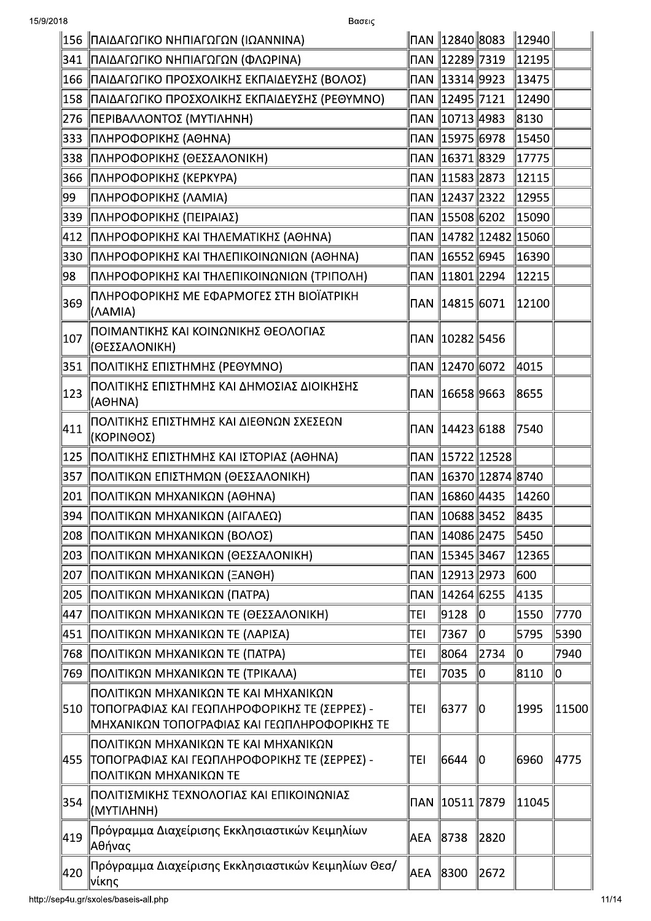|                 | 156   ΠΑΙΔΑΓΩΓΙΚΟ ΝΗΠΙΑΓΩΓΩΝ (ΙΩΑΝΝΙΝΑ)                                                                                                 |            | ΠAN   12840  8083  |                          | $\ 12940\ $                 |       |
|-----------------|-----------------------------------------------------------------------------------------------------------------------------------------|------------|--------------------|--------------------------|-----------------------------|-------|
|                 | 341   ΠΑΙΔΑΓΩΓΙΚΟ ΝΗΠΙΑΓΩΓΩΝ (ΦΛΩΡΙΝΑ)                                                                                                  |            | ∏AN   12289  7319  |                          | 12195                       |       |
|                 | 166   ΠΑΙΔΑΓΩΓΙΚΟ ΠΡΟΣΧΟΛΙΚΗΣ ΕΚΠΑΙΔΕΥΣΗΣ (ΒΟΛΟΣ)                                                                                       |            | ∏AN   13314  9923  |                          | 13475                       |       |
|                 | 158   ΠΑΙΔΑΓΩΓΙΚΟ ΠΡΟΣΧΟΛΙΚΗΣ ΕΚΠΑΙΔΕΥΣΗΣ (ΡΕΘΥΜΝΟ)                                                                                     |            | ∏AN   12495   7121 |                          | 12490                       |       |
|                 | 276   ΠΕΡΙΒΑΛΛΟΝΤΟΣ (ΜΥΤΙΛΗΝΗ)                                                                                                          |            | ∏AN   10713   4983 |                          | 8130                        |       |
|                 | ∥333 ∥ΠΛΗΡΟΦΟΡΙΚΗΣ (ΑΘΗΝΑ)                                                                                                              |            | ∏AN   15975   6978 |                          | 15450                       |       |
|                 | 338   ΠΛΗΡΟΦΟΡΙΚΗΣ (ΘΕΣΣΑΛΟΝΙΚΗ)                                                                                                        |            | ∏AN   16371   8329 |                          | 17775                       |       |
|                 | 366   ΠΛΗΡΟΦΟΡΙΚΗΣ (ΚΕΡΚΥΡΑ)                                                                                                            |            | ∏AN 11583 2873     |                          | 12115                       |       |
| ∥99             | ΠΛΗΡΟΦΟΡΙΚΗΣ (ΛΑΜΙΑ)                                                                                                                    |            | ∏AN   12437  2322  |                          | 12955                       |       |
|                 | 339   ΠΛΗΡΟΦΟΡΙΚΗΣ (ΠΕΙΡΑΙΑΣ)                                                                                                           |            | ∏AN   15508   6202 |                          | 15090                       |       |
|                 | 412   ΠΛΗΡΟΦΟΡΙΚΗΣ ΚΑΙ ΤΗΛΕΜΑΤΙΚΗΣ (ΑΘΗΝΑ)                                                                                              |            |                    |                          | ∏AN   14782   12482   15060 |       |
|                 | 330   ΠΛΗΡΟΦΟΡΙΚΗΣ ΚΑΙ ΤΗΛΕΠΙΚΟΙΝΩΝΙΩΝ (ΑΘΗΝΑ)                                                                                          |            | ∏AN 16552 6945     |                          | 16390                       |       |
| ∥98             | ΠΛΗΡΟΦΟΡΙΚΗΣ ΚΑΙ ΤΗΛΕΠΙΚΟΙΝΩΝΙΩΝ (ΤΡΙΠΟΛΗ)                                                                                              |            | ∏AN   11801   2294 |                          | 12215                       |       |
| 369             | ΠΛΗΡΟΦΟΡΙΚΗΣ ΜΕ ΕΦΑΡΜΟΓΕΣ ΣΤΗ ΒΙΟΪΑΤΡΙΚΗ<br>(AAMIA)                                                                                     |            | ∏AN   14815   6071 |                          | 12100                       |       |
| 107             | ΙΠΟΙΜΑΝΤΙΚΗΣ ΚΑΙ ΚΟΙΝΩΝΙΚΗΣ ΘΕΟΛΟΓΙΑΣ<br>(ΘΕΣΣΑΛΟΝΙΚΗ)                                                                                  |            | ∏AN   10282   5456 |                          |                             |       |
|                 | 351   ΠΟΛΙΤΙΚΗΣ ΕΠΙΣΤΗΜΗΣ (ΡΕΘΥΜΝΟ)                                                                                                     |            | ∏AN 12470 6072     |                          | 4015                        |       |
| 123             | ΠΟΛΙΤΙΚΗΣ ΕΠΙΣΤΗΜΗΣ ΚΑΙ ΔΗΜΟΣΙΑΣ ΔΙΟΙΚΗΣΗΣ<br>(AOHNA)                                                                                   |            | ∏AN   16658  9663  |                          | 8655                        |       |
| $\parallel$ 411 | ΠΟΛΙΤΙΚΗΣ ΕΠΙΣΤΗΜΗΣ ΚΑΙ ΔΙΕΘΝΩΝ ΣΧΕΣΕΩΝ<br>(ΚΟΡΙΝΘΟΣ)                                                                                   |            | ∏AN   14423   6188 |                          | 7540                        |       |
|                 | 125   ΠΟΛΙΤΙΚΗΣ ΕΠΙΣΤΗΜΗΣ ΚΑΙ ΙΣΤΟΡΙΑΣ (ΑΘΗΝΑ)                                                                                          |            |                    | ∏AN   15722   12528      |                             |       |
|                 | 357   ΠΟΛΙΤΙΚΩΝ ΕΠΙΣΤΗΜΩΝ (ΘΕΣΣΑΛΟΝΙΚΗ)                                                                                                 |            |                    | ∏AN   16370  12874  8740 |                             |       |
|                 | 201   ΠΟΛΙΤΙΚΩΝ ΜΗΧΑΝΙΚΩΝ (ΑΘΗΝΑ)                                                                                                       |            | ∏AN   16860  4435  |                          | 14260                       |       |
|                 | ∥394 ∥ΠΟΛΙΤΙΚΩΝ ΜΗΧΑΝΙΚΩΝ (ΑΙΓΑΛΕΩ)                                                                                                     |            | ∏AN   10688   3452 |                          | 8435                        |       |
|                 | 208   ΠΟΛΙΤΙΚΩΝ ΜΗΧΑΝΙΚΩΝ (ΒΟΛΟΣ)                                                                                                       |            | ∏AN   14086   2475 |                          | 5450                        |       |
| 203             | ΠΟΛΙΤΙΚΩΝ ΜΗΧΑΝΙΚΩΝ (ΘΕΣΣΑΛΟΝΙΚΗ)                                                                                                       | ΠAΝ        | 15345  3467        |                          | 12365                       |       |
| 207             | ΠΟΛΙΤΙΚΩΝ ΜΗΧΑΝΙΚΩΝ (ΞΑΝΘΗ)                                                                                                             | <b>NAN</b> | 12913  2973        |                          | 600                         |       |
| 205             | ΠΟΛΙΤΙΚΩΝ ΜΗΧΑΝΙΚΩΝ (ΠΑΤΡΑ)                                                                                                             | ΠAΝ        | 14264 6255∥        |                          | 4135                        |       |
| 447             | ΠΟΛΙΤΙΚΩΝ ΜΗΧΑΝΙΚΩΝ ΤΕ (ΘΕΣΣΑΛΟΝΙΚΗ)                                                                                                    | TEI        | 9128               | 10                       | 1550                        | 7770  |
| 451             | ΠΟΛΙΤΙΚΩΝ ΜΗΧΑΝΙΚΩΝ ΤΕ (ΛΑΡΙΣΑ)                                                                                                         | TEI        | 7367               | lo                       | 5795                        | 5390  |
| 768             | ΠΟΛΙΤΙΚΩΝ ΜΗΧΑΝΙΚΩΝ ΤΕ (ΠΑΤΡΑ)                                                                                                          | TEI        | 8064               | 2734                     | 10                          | 7940  |
| 769             | ΠΟΛΙΤΙΚΩΝ ΜΗΧΑΝΙΚΩΝ ΤΕ (ΤΡΙΚΑΛΑ)                                                                                                        | TEI        | 7035               | lo                       | 8110                        | llo   |
| 510             | ΠΟΛΙΤΙΚΩΝ ΜΗΧΑΝΙΚΩΝ ΤΕ ΚΑΙ ΜΗΧΑΝΙΚΩΝ<br>  ΤΟΠΟΓΡΑΦΙΑΣ ΚΑΙ ΓΕΩΠΛΗΡΟΦΟΡΙΚΗΣ ΤΕ (ΣΕΡΡΕΣ) -<br>ΜΗΧΑΝΙΚΩΝ ΤΟΠΟΓΡΑΦΙΑΣ ΚΑΙ ΓΕΩΠΛΗΡΟΦΟΡΙΚΗΣ ΤΕ | TEI        | 6377               | 10                       | 1995                        | 11500 |
|                 | ΠΟΛΙΤΙΚΩΝ ΜΗΧΑΝΙΚΩΝ ΤΕ ΚΑΙ ΜΗΧΑΝΙΚΩΝ<br>∥455   ΤΟΠΟΓΡΑΦΙΑΣ ΚΑΙ ΓΕΩΠΛΗΡΟΦΟΡΙΚΗΣ ΤΕ (ΣΕΡΡΕΣ) -<br>ΠΟΛΙΤΙΚΩΝ ΜΗΧΑΝΙΚΩΝ ΤΕ                  | TEI        | 6644               | llO                      | 6960                        | 4775  |
| 354             | ΠΟΛΙΤΙΣΜΙΚΗΣ ΤΕΧΝΟΛΟΓΙΑΣ ΚΑΙ ΕΠΙΚΟΙΝΩΝΙΑΣ<br>(MYTIAHNH)                                                                                 | <b>NAN</b> | 10511  7879        |                          | 11045                       |       |
| 419             | Πρόγραμμα Διαχείρισης Εκκλησιαστικών Κειμηλίων<br> Αθήνας                                                                               | AEA        | 8738               | 2820                     |                             |       |
| 420             | Πρόγραμμα Διαχείρισης Εκκλησιαστικών Κειμηλίων Θεσ/<br>∣νίκης                                                                           | AEA        | 8300               | 2672                     |                             |       |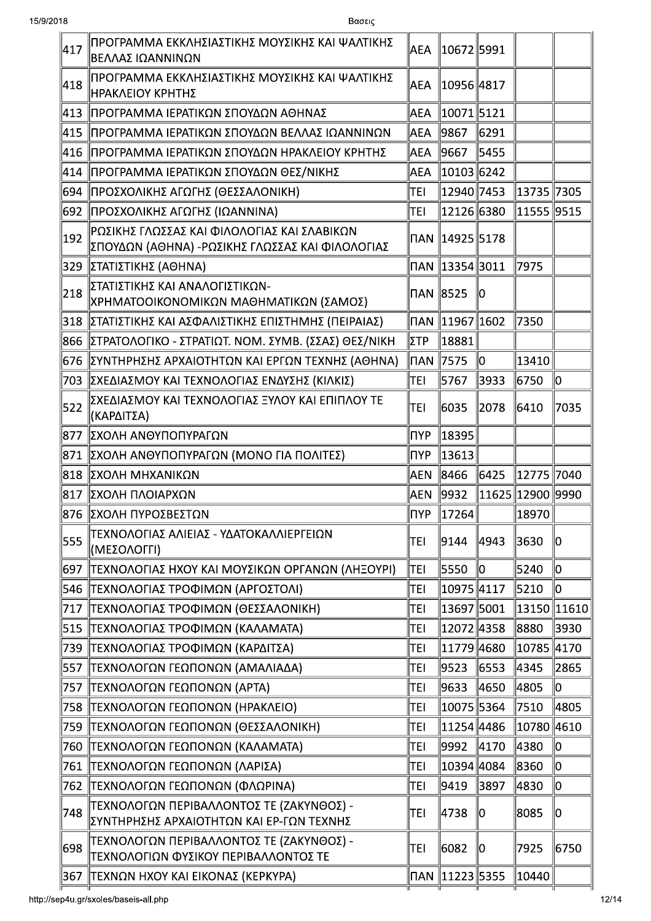| 417  | ΠΡΟΓΡΑΜΜΑ ΕΚΚΛΗΣΙΑΣΤΙΚΗΣ ΜΟΥΣΙΚΗΣ ΚΑΙ ΨΑΛΤΙΚΗΣ<br>ΒΕΛΛΑΣ ΙΩΑΝΝΙΝΩΝ                              | AEA        | 10672 5991             |      |                       |      |
|------|-------------------------------------------------------------------------------------------------|------------|------------------------|------|-----------------------|------|
| ∥418 | ΠΡΟΓΡΑΜΜΑ ΕΚΚΛΗΣΙΑΣΤΙΚΗΣ ΜΟΥΣΙΚΗΣ ΚΑΙ ΨΑΛΤΙΚΗΣ<br><b>ΗΡΑΚΛΕΙΟΥ ΚΡΗΤΗΣ</b>                       | AEA        | 10956  4817            |      |                       |      |
| ∥413 | ΠΡΟΓΡΑΜΜΑ ΙΕΡΑΤΙΚΩΝ ΣΠΟΥΔΩΝ ΑΘΗΝΑΣ                                                              | AEA        | 10071 5121             |      |                       |      |
| ∥415 | ΠΡΟΓΡΑΜΜΑ ΙΕΡΑΤΙΚΩΝ ΣΠΟΥΔΩΝ ΒΕΛΛΑΣ ΙΩΑΝΝΙΝΩΝ                                                    | AEA        | 9867                   | 6291 |                       |      |
| 416  | ΠΡΟΓΡΑΜΜΑ ΙΕΡΑΤΙΚΩΝ ΣΠΟΥΔΩΝ ΗΡΑΚΛΕΙΟΥ ΚΡΗΤΗΣ                                                    | AEA        | 9667                   | 5455 |                       |      |
| 414  | ΠΡΟΓΡΑΜΜΑ ΙΕΡΑΤΙΚΩΝ ΣΠΟΥΔΩΝ ΘΕΣ/ΝΙΚΗΣ                                                           | AEA        | 10103 6242             |      |                       |      |
| 694  | ΠΡΟΣΧΟΛΙΚΗΣ ΑΓΩΓΗΣ (ΘΕΣΣΑΛΟΝΙΚΗ)                                                                | <b>TEI</b> | 12940 7453             |      | 13735 7305            |      |
| 692  | ΠΡΟΣΧΟΛΙΚΗΣ ΑΓΩΓΗΣ (ΙΩΑΝΝΙΝΑ)                                                                   | <b>TEI</b> | 12126 6380             |      | 11555 9515            |      |
| 192  | ΡΩΣΙΚΗΣ ΓΛΩΣΣΑΣ ΚΑΙ ΦΙΛΟΛΟΓΙΑΣ ΚΑΙ ΣΛΑΒΙΚΩΝ<br> ΣΠΟΥΔΩΝ (ΑΘΗΝΑ) -ΡΩΣΙΚΗΣ ΓΛΩΣΣΑΣ ΚΑΙ ΦΙΛΟΛΟΓΙΑΣ | ΠAΝ        | 14925  5178            |      |                       |      |
|      | 329   ΣΤΑΤΙΣΤΙΚΗΣ (ΑΘΗΝΑ)                                                                       | ΠAΝ        | 13354  3011            |      | 7975                  |      |
| 218  | ΣΤΑΤΙΣΤΙΚΗΣ ΚΑΙ ΑΝΑΛΟΓΙΣΤΙΚΩΝ-<br> ΧΡΗΜΑΤΟΟΙΚΟΝΟΜΙΚΩΝ ΜΑΘΗΜΑΤΙΚΩΝ (ΣΑΜΟΣ)                       | ΠAΝ        | 8525                   | llo  |                       |      |
|      | 318   ΣΤΑΤΙΣΤΙΚΗΣ ΚΑΙ ΑΣΦΑΛΙΣΤΙΚΗΣ ΕΠΙΣΤΗΜΗΣ (ΠΕΙΡΑΙΑΣ)                                         |            | ∏AN   11967  1602      |      | 7350                  |      |
|      | 866   ΣΤΡΑΤΟΛΟΓΙΚΟ - ΣΤΡΑΤΙΩΤ. ΝΟΜ. ΣΥΜΒ. (ΣΣΑΣ) ΘΕΣ/ΝΙΚΗ                                       | ΣΤΡ        | $\left  18881 \right $ |      |                       |      |
|      | 676   ΣΥΝΤΗΡΗΣΗΣ ΑΡΧΑΙΟΤΗΤΩΝ ΚΑΙ ΕΡΓΩΝ ΤΕΧΝΗΣ (ΑΘΗΝΑ)                                           | ∥⊓AN       | 7575                   | ∥o   | 13410                 |      |
|      | 703   ΣΧΕΔΙΑΣΜΟΥ ΚΑΙ ΤΕΧΝΟΛΟΓΙΑΣ ΕΝΔΥΣΗΣ (ΚΙΛΚΙΣ)                                               | TEI        | 5767                   | 3933 | 6750                  | ∥o   |
| 522  | ΣΧΕΔΙΑΣΜΟΥ ΚΑΙ ΤΕΧΝΟΛΟΓΙΑΣ ΞΥΛΟΥ ΚΑΙ ΕΠΙΠΛΟΥ ΤΕ<br>(ΚΑΡΔΙΤΣΑ)                                   | <b>TEI</b> | 6035                   | 2078 | 6410                  | 7035 |
|      | 877   ΣΧΟΛΗ ΑΝΘΥΠΟΠΥΡΑΓΩΝ                                                                       | <b>NYP</b> | 18395                  |      |                       |      |
|      | 871   ΣΧΟΛΗ ΑΝΘΥΠΟΠΥΡΑΓΩΝ (ΜΟΝΟ ΓΙΑ ΠΟΛΙΤΕΣ)                                                    | ∣ΠYΡ       | 13613                  |      |                       |      |
|      | 818   ΣΧΟΛΗ ΜΗΧΑΝΙΚΩΝ                                                                           | AEN        | 8466                   | 6425 | 12775 7040            |      |
|      | 817   ΣΧΟΛΗ ΠΛΟΙΑΡΧΩΝ                                                                           | AEN.       | 9932                   |      | ∥11625   12900   9990 |      |
|      | ∥876 ∥ΣΧΟΛΗ ΠΥΡΟΣΒΕΣΤΩΝ                                                                         | ∥ΠYΡ       | $\vert$ 17264 $\vert$  |      | 18970                 |      |
| 555  | ΤΕΧΝΟΛΟΓΙΑΣ ΑΛΙΕΙΑΣ - ΥΔΑΤΟΚΑΛΛΙΕΡΓΕΙΩΝ<br>(ΜΕΣΟΛΟΓΓΙ)                                          | TEI        | 9144                   | 4943 | 3630                  | llo  |
| 697  | ΤΕΧΝΟΛΟΓΙΑΣ ΗΧΟΥ ΚΑΙ ΜΟΥΣΙΚΩΝ ΟΡΓΑΝΩΝ (ΛΗΞΟΥΡΙ)                                                 | TEI        | 5550                   | 10   | 5240                  | 10   |
| 546  | ΤΕΧΝΟΛΟΓΙΑΣ ΤΡΟΦΙΜΩΝ (ΑΡΓΟΣΤΟΛΙ)                                                                | TEI        | 10975 4117             |      | 5210                  | llo  |
| 717  | ΤΕΧΝΟΛΟΓΙΑΣ ΤΡΟΦΙΜΩΝ (ΘΕΣΣΑΛΟΝΙΚΗ)                                                              | TEI        | 13697 5001             |      | 13150 11610           |      |
| 515  | ΤΕΧΝΟΛΟΓΙΑΣ ΤΡΟΦΙΜΩΝ (ΚΑΛΑΜΑΤΑ)                                                                 | TEI        | 120724358              |      | 8880                  | 3930 |
| 739  | ΤΕΧΝΟΛΟΓΙΑΣ ΤΡΟΦΙΜΩΝ (ΚΑΡΔΙΤΣΑ)                                                                 | TEI        | 11779 4680             |      | 10785 4170            |      |
| 557  | ΤΕΧΝΟΛΟΓΩΝ ΓΕΩΠΟΝΩΝ (ΑΜΑΛΙΑΔΑ)                                                                  | TEI        | 9523                   | 6553 | 4345                  | 2865 |
| 757  | ΤΕΧΝΟΛΟΓΩΝ ΓΕΩΠΟΝΩΝ (ΑΡΤΑ)                                                                      | TEI        | 9633                   | 4650 | 4805                  | 10   |
| 758  | ΤΕΧΝΟΛΟΓΩΝ ΓΕΩΠΟΝΩΝ (ΗΡΑΚΛΕΙΟ)                                                                  | TEI        | 10075 5364             |      | 7510                  | 4805 |
| 759  | ΤΕΧΝΟΛΟΓΩΝ ΓΕΩΠΟΝΩΝ (ΘΕΣΣΑΛΟΝΙΚΗ)                                                               | TEI        | 11254 4486             |      | 10780 4610            |      |
| 760  | ΤΕΧΝΟΛΟΓΩΝ ΓΕΩΠΟΝΩΝ (ΚΑΛΑΜΑΤΑ)                                                                  | TEI        | 9992                   | 4170 | 4380                  | 10   |
| 761  | ΤΕΧΝΟΛΟΓΩΝ ΓΕΩΠΟΝΩΝ (ΛΑΡΙΣΑ)                                                                    | TEI        | 10394 4084             |      | 8360                  | 10   |
| 762  | ΤΕΧΝΟΛΟΓΩΝ ΓΕΩΠΟΝΩΝ (ΦΛΩΡΙΝΑ)                                                                   | TEI        | 9419                   | 3897 | 4830                  | lo   |
| 748  | ΤΕΧΝΟΛΟΓΩΝ ΠΕΡΙΒΑΛΛΟΝΤΟΣ ΤΕ (ΖΑΚΥΝΘΟΣ) -<br>ΣΥΝΤΗΡΗΣΗΣ ΑΡΧΑΙΟΤΗΤΩΝ ΚΑΙ ΕΡ-ΓΩΝ ΤΕΧΝΗΣ            | TEI        | 4738                   | 10   | 8085                  | 10   |
| 698  | ΤΕΧΝΟΛΟΓΩΝ ΠΕΡΙΒΑΛΛΟΝΤΟΣ ΤΕ (ΖΑΚΥΝΘΟΣ) -<br>ΤΕΧΝΟΛΟΓΙΩΝ ΦΥΣΙΚΟΥ ΠΕΡΙΒΑΛΛΟΝΤΟΣ ΤΕ                | TEI        | 6082                   | 10   | 7925                  | 6750 |
| 367  | ΤΕΧΝΩΝ ΗΧΟΥ ΚΑΙ ΕΙΚΟΝΑΣ (ΚΕΡΚΥΡΑ)                                                               | I⊓AN       | 11223  5355            |      | 10440                 |      |
|      |                                                                                                 |            |                        |      |                       |      |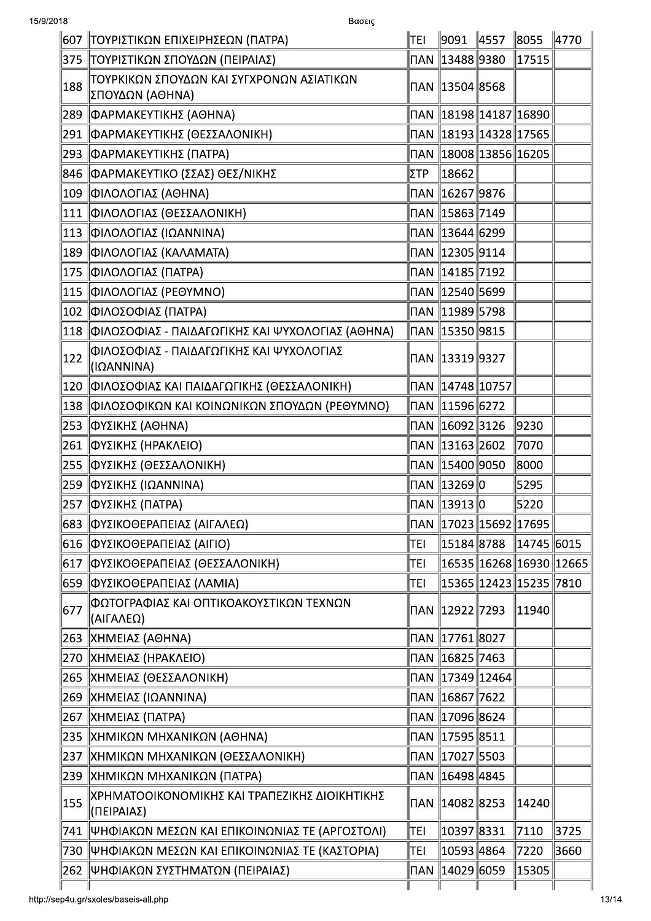| 15/9/2018 | Βασεις                                                         |                              |                               |                           |                            |
|-----------|----------------------------------------------------------------|------------------------------|-------------------------------|---------------------------|----------------------------|
|           | 607   ΤΟΥΡΙΣΤΙΚΩΝ ΕΠΙΧΕΙΡΗΣΕΩΝ (ΠΑΤΡΑ)                         | TEI                          | ∥9091 ∥4557 ∥8055             |                           | 4770                       |
|           | 375   ΤΟΥΡΙΣΤΙΚΩΝ ΣΠΟΥΔΩΝ (ΠΕΙΡΑΙΑΣ)                           |                              | ∏AN   13488  9380             | 17515                     |                            |
| 188       | ΙτοΥΡΚΙΚΩΝ ΣΠΟΥΔΩΝ ΚΑΙ ΣΥΓΧΡΟΝΩΝ ΑΣΙΑΤΙΚΩΝ<br> ΣΠΟΥΔΩΝ (ΑΘΗΝΑ) |                              | ∏AN 13504 8568                |                           |                            |
|           | 289   ΦΑΡΜΑΚΕΥΤΙΚΗΣ (ΑΘΗΝΑ)                                    |                              |                               | ∏AN 18198 14187 16890     |                            |
|           | 291   ΦΑΡΜΑΚΕΥΤΙΚΗΣ (ΘΕΣΣΑΛΟΝΙΚΗ)                              |                              |                               |                           |                            |
|           | 293   ΦΑΡΜΑΚΕΥΤΙΚΗΣ (ΠΑΤΡΑ)                                    |                              |                               |                           |                            |
|           | 846   ΦΑΡΜΑΚΕΥΤΙΚΟ (ΣΣΑΣ) ΘΕΣ/ΝΙΚΗΣ                            | ΣΤΡ                          | $\parallel$ 18662 $\parallel$ |                           |                            |
|           | 109 ΦΙΛΟΛΟΓΙΑΣ (ΑΘΗΝΑ)                                         |                              |                               |                           |                            |
|           | 111 ΦΙΛΟΛΟΓΙΑΣ (ΘΕΣΣΑΛΟΝΙΚΗ)                                   |                              |                               |                           |                            |
|           | 113 ΦΙΛΟΛΟΓΙΑΣ (ΙΩΑΝΝΙΝΑ)                                      |                              | ∏AN   13644   6299            |                           |                            |
|           | 189   ΦΙΛΟΛΟΓΙΑΣ (ΚΑΛΑΜΑΤΑ)                                    |                              | ∏AN 12305 9114                |                           |                            |
|           | 175 ΦΙΛΟΛΟΓΙΑΣ (ΠΑΤΡΑ)                                         |                              |                               |                           |                            |
|           | 115 ΦΙΛΟΛΟΓΙΑΣ (ΡΕΘΥΜΝΟ)                                       |                              |                               |                           |                            |
|           | 102 ΦΙΛΟΣΟΦΙΑΣ (ΠΑΤΡΑ)                                         |                              |                               |                           |                            |
|           | 118 ΦΙΛΟΣΟΦΙΑΣ - ΠΑΙΔΑΓΩΓΙΚΗΣ ΚΑΙ ΨΥΧΟΛΟΓΙΑΣ (ΑΘΗΝΑ)           |                              |                               |                           |                            |
| 122       | ΦΙΛΟΣΟΦΙΑΣ - ΠΑΙΔΑΓΩΓΙΚΗΣ ΚΑΙ ΨΥΧΟΛΟΓΙΑΣ<br> (ΙΩΑΝΝΙΝΑ)        |                              |                               |                           |                            |
|           | 120 ΦΙΛΟΣΟΦΙΑΣ ΚΑΙ ΠΑΙΔΑΓΩΓΙΚΗΣ (ΘΕΣΣΑΛΟΝΙΚΗ)                  |                              |                               |                           |                            |
|           | 138 ΦΙΛΟΣΟΦΙΚΩΝ ΚΑΙ ΚΟΙΝΩΝΙΚΩΝ ΣΠΟΥΔΩΝ (ΡΕΘΥΜΝΟ)               |                              | ∏AN 11596 6272                |                           |                            |
|           | 253   ΦΥΣΙΚΗΣ (ΑΘΗΝΑ)                                          |                              |                               | 9230                      |                            |
|           | 261 ΦΥΣΙΚΗΣ (ΗΡΑΚΛΕΙΟ)                                         |                              | ∏AN 13163 2602                | 7070                      |                            |
|           | 255   ΦΥΣΙΚΗΣ (ΘΕΣΣΑΛΟΝΙΚΗ)                                    |                              | ∏AN   15400   9050            | 8000                      |                            |
|           | 259 ΦΥΣΙΚΗΣ (ΙΩΑΝΝΙΝΑ)                                         |                              | ∏AN 13269 O                   | 5295                      |                            |
|           | 257   ΦΥΣΙΚΗΣ (ΠΑΤΡΑ)                                          |                              | ΠAN   13913   0               | 5220                      |                            |
|           | 683   ΦΥΣΙΚΟΘΕΡΑΠΕΙΑΣ (ΑΙΓΑΛΕΩ)                                |                              | ∏AN   17023  15692  17695     |                           |                            |
|           | 616   ΦΥΣΙΚΟΘΕΡΑΠΕΙΑΣ (ΑΙΓΙΟ)                                  | TEI                          | 15184 8788                    | $\ $ 14745 $\ $ 6015      |                            |
|           | 617   ΦΥΣΙΚΟΘΕΡΑΠΕΙΑΣ (ΘΕΣΣΑΛΟΝΙΚΗ)                            | TEI                          |                               |                           | 16535  16268  16930  12665 |
|           | 659   ΦΥΣΙΚΟΘΕΡΑΠΕΙΑΣ (ΛΑΜΙΑ)                                  | TEI                          |                               | 15365  12423  15235  7810 |                            |
| 677       | ΦΩΤΟΓΡΑΦΙΑΣ ΚΑΙ ΟΠΤΙΚΟΑΚΟΥΣΤΙΚΩΝ ΤΕΧΝΩΝ<br>∥(ΑΙΓΑΛΕΩ)          |                              |                               | 11940                     |                            |
|           | 263   ΧΗΜΕΙΑΣ (ΑΘΗΝΑ)                                          |                              | ∏AN   17761   8027            |                           |                            |
|           | 270   ΧΗΜΕΙΑΣ (ΗΡΑΚΛΕΙΟ)                                       |                              | ∏AN   16825  7463             |                           |                            |
|           | 265   ΧΗΜΕΙΑΣ (ΘΕΣΣΑΛΟΝΙΚΗ)                                    |                              | ∏AN   17349  12464            |                           |                            |
|           | 269   ΧΗΜΕΙΑΣ (ΙΩΑΝΝΙΝΑ)                                       |                              | ∏AN   16867  7622             |                           |                            |
|           | 267   ΧΗΜΕΙΑΣ (ΠΑΤΡΑ)                                          |                              | ∏AN   17096  8624             |                           |                            |
|           | 235   ΧΗΜΙΚΩΝ ΜΗΧΑΝΙΚΩΝ (ΑΘΗΝΑ)                                |                              | ∏AN   17595   8511            |                           |                            |
|           | 237  ΧΗΜΙΚΩΝ ΜΗΧΑΝΙΚΩΝ (ΘΕΣΣΑΛΟΝΙΚΗ)                           |                              | ∏AN   17027  5503             |                           |                            |
|           | 239   ΧΗΜΙΚΩΝ ΜΗΧΑΝΙΚΩΝ (ΠΑΤΡΑ)                                |                              | ∏AN   16498  4845             |                           |                            |
| 155       | ΧΡΗΜΑΤΟΟΙΚΟΝΟΜΙΚΗΣ ΚΑΙ ΤΡΑΠΕΖΙΚΗΣ ΔΙΟΙΚΗΤΙΚΗΣ<br>  (ΠΕΙΡΑΙΑΣ)  | <b>NAN</b>                   | $\ 14082\ 8253$               | 14240                     |                            |
|           | 741   ΨΗΦΙΑΚΩΝ ΜΕΣΩΝ ΚΑΙ ΕΠΙΚΟΙΝΩΝΙΑΣ ΤΕ (ΑΡΓΟΣΤΟΛΙ)           | TEI                          | 10397 8331                    | 7110                      | 3725                       |
|           | 730 ΨΗΦΙΑΚΩΝ ΜΕΣΩΝ ΚΑΙ ΕΠΙΚΟΙΝΩΝΙΑΣ ΤΕ (ΚΑΣΤΟΡΙΑ)              | TEI                          | 10593 4864                    | 7220                      | 3660                       |
|           | 262   ΨΗΦΙΑΚΩΝ ΣΥΣΤΗΜΑΤΩΝ (ΠΕΙΡΑΙΑΣ)                           | $\overline{\mathsf{\Pi}}$ AN | 14029 6059                    | 15305                     |                            |
|           |                                                                |                              |                               |                           |                            |